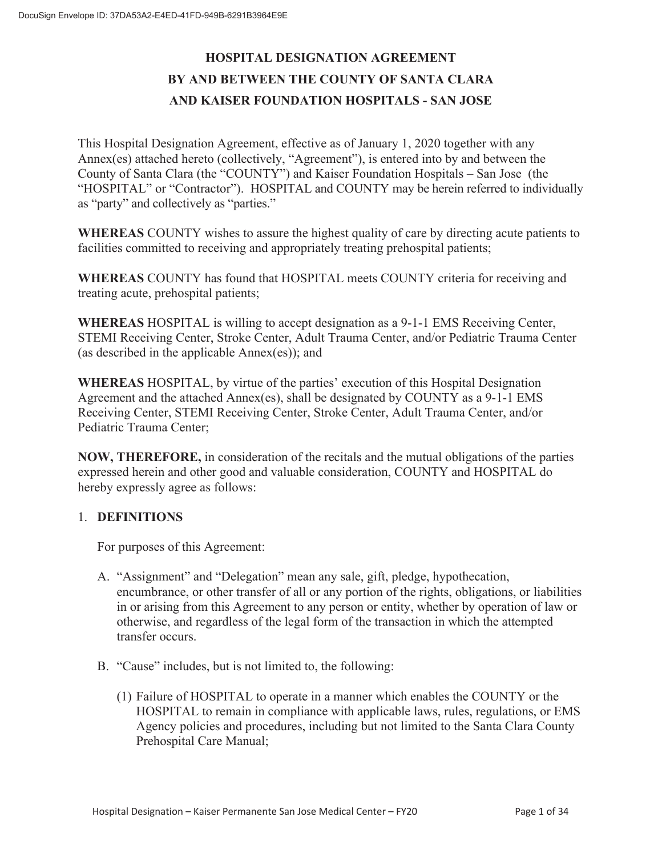# **HOSPITAL DESIGNATION AGREEMENT BY AND BETWEEN THE COUNTY OF SANTA CLARA AND KAISER FOUNDATION HOSPITALS - SAN JOSE**

This Hospital Designation Agreement, effective as of January 1, 2020 together with any Annex(es) attached hereto (collectively, "Agreement"), is entered into by and between the County of Santa Clara (the "COUNTY") and Kaiser Foundation Hospitals – San Jose (the "HOSPITAL" or "Contractor"). HOSPITAL and COUNTY may be herein referred to individually as "party" and collectively as "parties."

**WHEREAS** COUNTY wishes to assure the highest quality of care by directing acute patients to facilities committed to receiving and appropriately treating prehospital patients;

**WHEREAS** COUNTY has found that HOSPITAL meets COUNTY criteria for receiving and treating acute, prehospital patients;

**WHEREAS** HOSPITAL is willing to accept designation as a 9-1-1 EMS Receiving Center, STEMI Receiving Center, Stroke Center, Adult Trauma Center, and/or Pediatric Trauma Center (as described in the applicable Annex(es)); and

**WHEREAS** HOSPITAL, by virtue of the parties' execution of this Hospital Designation Agreement and the attached Annex(es), shall be designated by COUNTY as a 9-1-1 EMS Receiving Center, STEMI Receiving Center, Stroke Center, Adult Trauma Center, and/or Pediatric Trauma Center;

**NOW, THEREFORE,** in consideration of the recitals and the mutual obligations of the parties expressed herein and other good and valuable consideration, COUNTY and HOSPITAL do hereby expressly agree as follows:

# 1. **DEFINITIONS**

For purposes of this Agreement:

- A. "Assignment" and "Delegation" mean any sale, gift, pledge, hypothecation, encumbrance, or other transfer of all or any portion of the rights, obligations, or liabilities in or arising from this Agreement to any person or entity, whether by operation of law or otherwise, and regardless of the legal form of the transaction in which the attempted transfer occurs.
- B. "Cause" includes, but is not limited to, the following:
	- (1) Failure of HOSPITAL to operate in a manner which enables the COUNTY or the HOSPITAL to remain in compliance with applicable laws, rules, regulations, or EMS Agency policies and procedures, including but not limited to the Santa Clara County Prehospital Care Manual;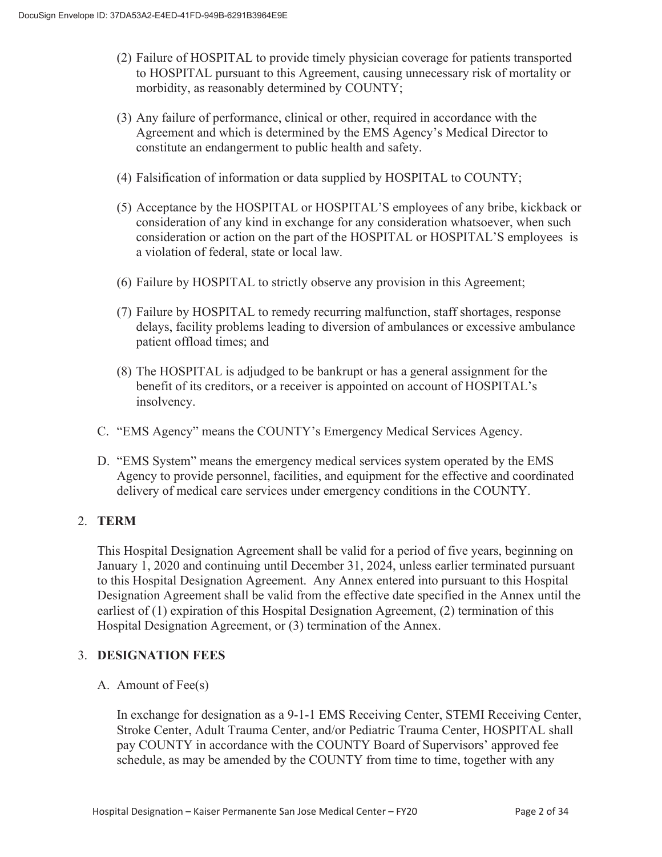- (2) Failure of HOSPITAL to provide timely physician coverage for patients transported to HOSPITAL pursuant to this Agreement, causing unnecessary risk of mortality or morbidity, as reasonably determined by COUNTY;
- (3) Any failure of performance, clinical or other, required in accordance with the Agreement and which is determined by the EMS Agency's Medical Director to constitute an endangerment to public health and safety.
- (4) Falsification of information or data supplied by HOSPITAL to COUNTY;
- (5) Acceptance by the HOSPITAL or HOSPITAL'S employees of any bribe, kickback or consideration of any kind in exchange for any consideration whatsoever, when such consideration or action on the part of the HOSPITAL or HOSPITAL'S employees is a violation of federal, state or local law.
- (6) Failure by HOSPITAL to strictly observe any provision in this Agreement;
- (7) Failure by HOSPITAL to remedy recurring malfunction, staff shortages, response delays, facility problems leading to diversion of ambulances or excessive ambulance patient offload times; and
- (8) The HOSPITAL is adjudged to be bankrupt or has a general assignment for the benefit of its creditors, or a receiver is appointed on account of HOSPITAL's insolvency.
- C. "EMS Agency" means the COUNTY's Emergency Medical Services Agency.
- D. "EMS System" means the emergency medical services system operated by the EMS Agency to provide personnel, facilities, and equipment for the effective and coordinated delivery of medical care services under emergency conditions in the COUNTY.

# 2. **TERM**

This Hospital Designation Agreement shall be valid for a period of five years, beginning on January 1, 2020 and continuing until December 31, 2024, unless earlier terminated pursuant to this Hospital Designation Agreement. Any Annex entered into pursuant to this Hospital Designation Agreement shall be valid from the effective date specified in the Annex until the earliest of (1) expiration of this Hospital Designation Agreement, (2) termination of this Hospital Designation Agreement, or (3) termination of the Annex.

# 3. **DESIGNATION FEES**

A. Amount of Fee(s)

In exchange for designation as a 9-1-1 EMS Receiving Center, STEMI Receiving Center, Stroke Center, Adult Trauma Center, and/or Pediatric Trauma Center, HOSPITAL shall pay COUNTY in accordance with the COUNTY Board of Supervisors' approved fee schedule, as may be amended by the COUNTY from time to time, together with any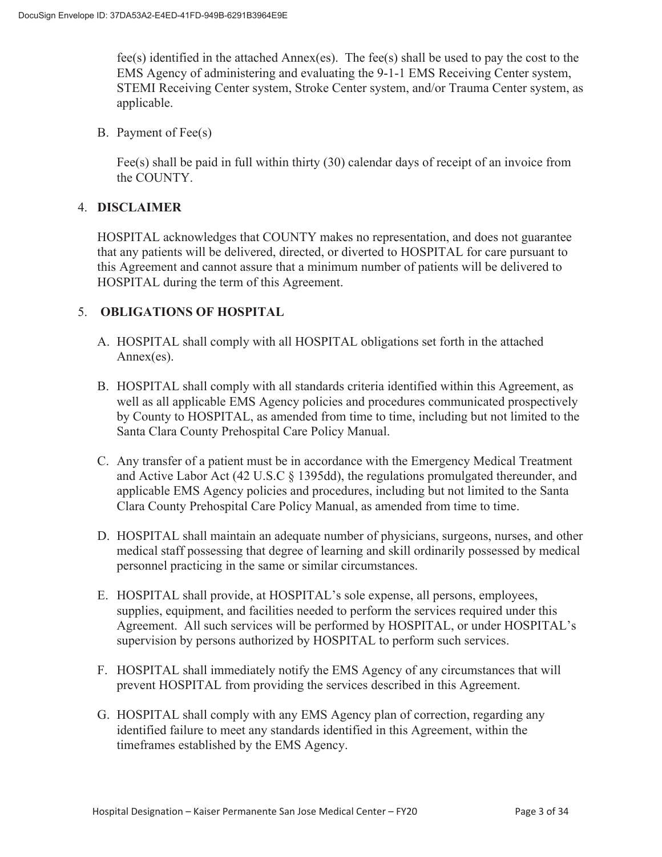fee(s) identified in the attached Annex(es). The fee(s) shall be used to pay the cost to the EMS Agency of administering and evaluating the 9-1-1 EMS Receiving Center system, STEMI Receiving Center system, Stroke Center system, and/or Trauma Center system, as applicable.

B. Payment of Fee(s)

Fee(s) shall be paid in full within thirty (30) calendar days of receipt of an invoice from the COUNTY.

# 4. **DISCLAIMER**

HOSPITAL acknowledges that COUNTY makes no representation, and does not guarantee that any patients will be delivered, directed, or diverted to HOSPITAL for care pursuant to this Agreement and cannot assure that a minimum number of patients will be delivered to HOSPITAL during the term of this Agreement.

# 5. **OBLIGATIONS OF HOSPITAL**

- A. HOSPITAL shall comply with all HOSPITAL obligations set forth in the attached Annex(es).
- B. HOSPITAL shall comply with all standards criteria identified within this Agreement, as well as all applicable EMS Agency policies and procedures communicated prospectively by County to HOSPITAL, as amended from time to time, including but not limited to the Santa Clara County Prehospital Care Policy Manual.
- C. Any transfer of a patient must be in accordance with the Emergency Medical Treatment and Active Labor Act (42 U.S.C § 1395dd), the regulations promulgated thereunder, and applicable EMS Agency policies and procedures, including but not limited to the Santa Clara County Prehospital Care Policy Manual, as amended from time to time.
- D. HOSPITAL shall maintain an adequate number of physicians, surgeons, nurses, and other medical staff possessing that degree of learning and skill ordinarily possessed by medical personnel practicing in the same or similar circumstances.
- E. HOSPITAL shall provide, at HOSPITAL's sole expense, all persons, employees, supplies, equipment, and facilities needed to perform the services required under this Agreement. All such services will be performed by HOSPITAL, or under HOSPITAL's supervision by persons authorized by HOSPITAL to perform such services.
- F. HOSPITAL shall immediately notify the EMS Agency of any circumstances that will prevent HOSPITAL from providing the services described in this Agreement.
- G. HOSPITAL shall comply with any EMS Agency plan of correction, regarding any identified failure to meet any standards identified in this Agreement, within the timeframes established by the EMS Agency.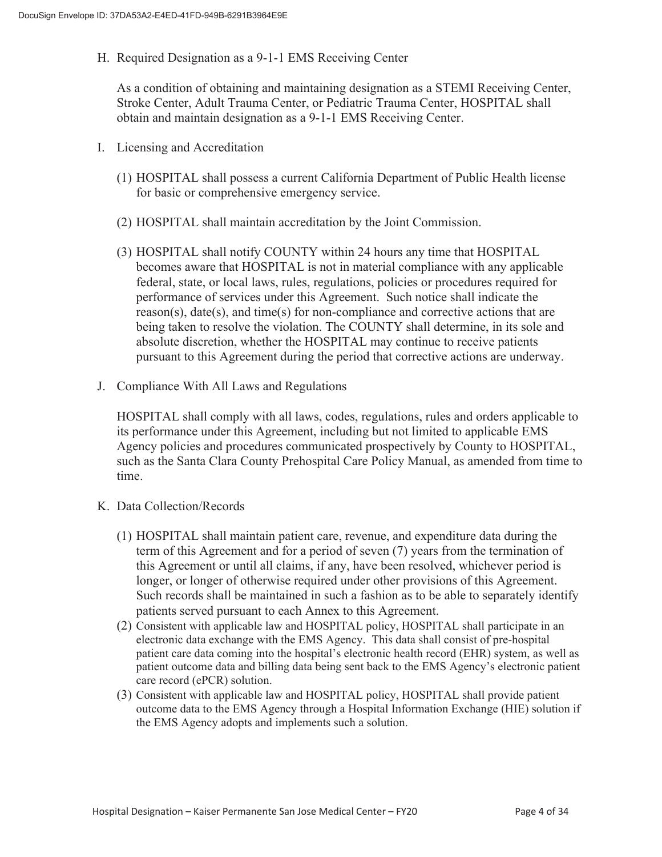H. Required Designation as a 9-1-1 EMS Receiving Center

As a condition of obtaining and maintaining designation as a STEMI Receiving Center, Stroke Center, Adult Trauma Center, or Pediatric Trauma Center, HOSPITAL shall obtain and maintain designation as a 9-1-1 EMS Receiving Center.

- I. Licensing and Accreditation
	- (1) HOSPITAL shall possess a current California Department of Public Health license for basic or comprehensive emergency service.
	- (2) HOSPITAL shall maintain accreditation by the Joint Commission.
	- (3) HOSPITAL shall notify COUNTY within 24 hours any time that HOSPITAL becomes aware that HOSPITAL is not in material compliance with any applicable federal, state, or local laws, rules, regulations, policies or procedures required for performance of services under this Agreement. Such notice shall indicate the  $r$ eason(s), date(s), and time(s) for non-compliance and corrective actions that are being taken to resolve the violation. The COUNTY shall determine, in its sole and absolute discretion, whether the HOSPITAL may continue to receive patients pursuant to this Agreement during the period that corrective actions are underway.
- J. Compliance With All Laws and Regulations

HOSPITAL shall comply with all laws, codes, regulations, rules and orders applicable to its performance under this Agreement, including but not limited to applicable EMS Agency policies and procedures communicated prospectively by County to HOSPITAL, such as the Santa Clara County Prehospital Care Policy Manual, as amended from time to time.

- K. Data Collection/Records
	- (1) HOSPITAL shall maintain patient care, revenue, and expenditure data during the term of this Agreement and for a period of seven (7) years from the termination of this Agreement or until all claims, if any, have been resolved, whichever period is longer, or longer of otherwise required under other provisions of this Agreement. Such records shall be maintained in such a fashion as to be able to separately identify patients served pursuant to each Annex to this Agreement.
	- (2) Consistent with applicable law and HOSPITAL policy, HOSPITAL shall participate in an electronic data exchange with the EMS Agency. This data shall consist of pre-hospital patient care data coming into the hospital's electronic health record (EHR) system, as well as patient outcome data and billing data being sent back to the EMS Agency's electronic patient care record (ePCR) solution.
	- (3) Consistent with applicable law and HOSPITAL policy, HOSPITAL shall provide patient outcome data to the EMS Agency through a Hospital Information Exchange (HIE) solution if the EMS Agency adopts and implements such a solution.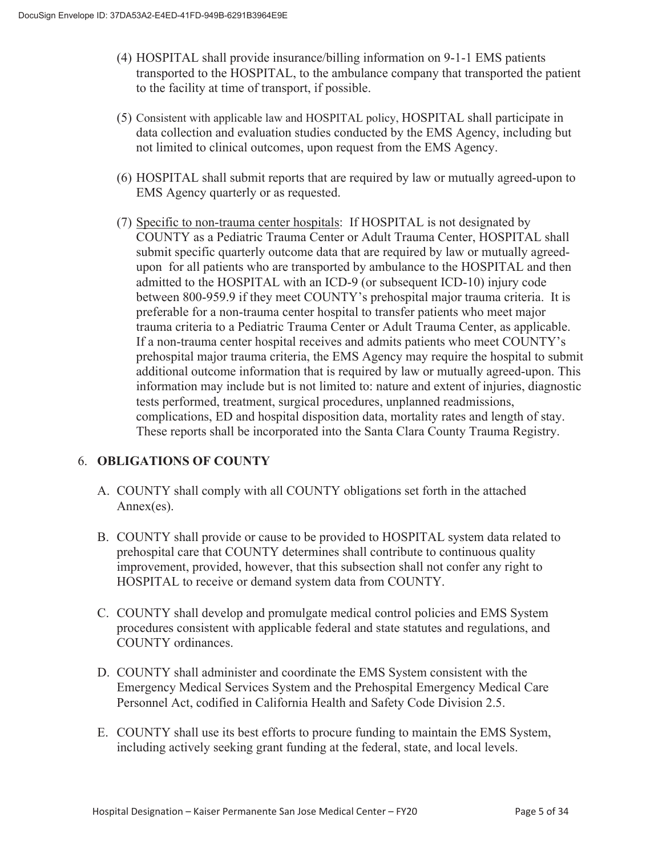- (4) HOSPITAL shall provide insurance/billing information on 9-1-1 EMS patients transported to the HOSPITAL, to the ambulance company that transported the patient to the facility at time of transport, if possible.
- (5) Consistent with applicable law and HOSPITAL policy, HOSPITAL shall participate in data collection and evaluation studies conducted by the EMS Agency, including but not limited to clinical outcomes, upon request from the EMS Agency.
- (6) HOSPITAL shall submit reports that are required by law or mutually agreed-upon to EMS Agency quarterly or as requested.
- (7) Specific to non-trauma center hospitals: If HOSPITAL is not designated by COUNTY as a Pediatric Trauma Center or Adult Trauma Center, HOSPITAL shall submit specific quarterly outcome data that are required by law or mutually agreedupon for all patients who are transported by ambulance to the HOSPITAL and then admitted to the HOSPITAL with an ICD-9 (or subsequent ICD-10) injury code between 800-959.9 if they meet COUNTY's prehospital major trauma criteria. It is preferable for a non-trauma center hospital to transfer patients who meet major trauma criteria to a Pediatric Trauma Center or Adult Trauma Center, as applicable. If a non-trauma center hospital receives and admits patients who meet COUNTY's prehospital major trauma criteria, the EMS Agency may require the hospital to submit additional outcome information that is required by law or mutually agreed-upon. This information may include but is not limited to: nature and extent of injuries, diagnostic tests performed, treatment, surgical procedures, unplanned readmissions, complications, ED and hospital disposition data, mortality rates and length of stay. These reports shall be incorporated into the Santa Clara County Trauma Registry.

# 6. **OBLIGATIONS OF COUNTY**

- A. COUNTY shall comply with all COUNTY obligations set forth in the attached Annex(es).
- B. COUNTY shall provide or cause to be provided to HOSPITAL system data related to prehospital care that COUNTY determines shall contribute to continuous quality improvement, provided, however, that this subsection shall not confer any right to HOSPITAL to receive or demand system data from COUNTY.
- C. COUNTY shall develop and promulgate medical control policies and EMS System procedures consistent with applicable federal and state statutes and regulations, and COUNTY ordinances.
- D. COUNTY shall administer and coordinate the EMS System consistent with the Emergency Medical Services System and the Prehospital Emergency Medical Care Personnel Act, codified in California Health and Safety Code Division 2.5.
- E. COUNTY shall use its best efforts to procure funding to maintain the EMS System, including actively seeking grant funding at the federal, state, and local levels.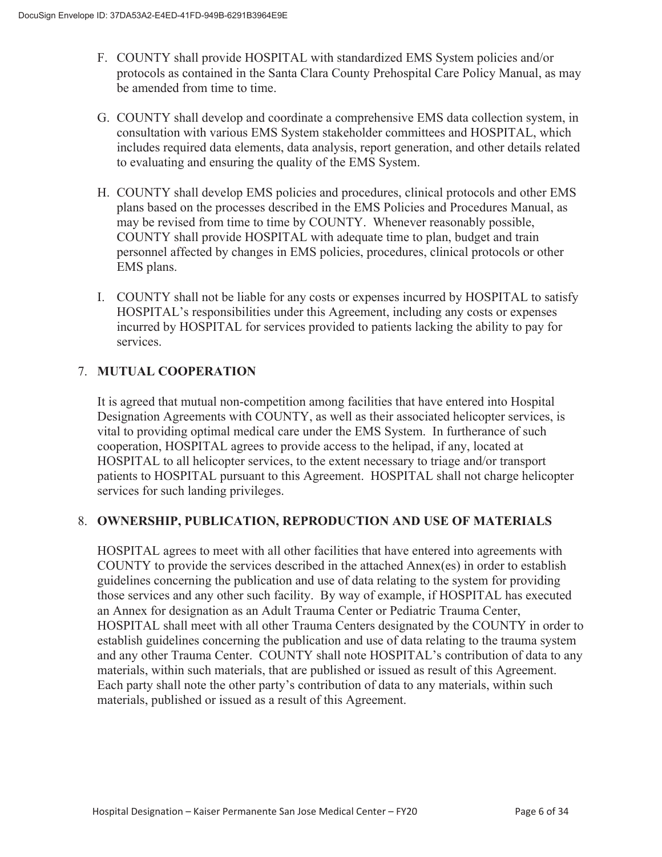- F. COUNTY shall provide HOSPITAL with standardized EMS System policies and/or protocols as contained in the Santa Clara County Prehospital Care Policy Manual, as may be amended from time to time.
- G. COUNTY shall develop and coordinate a comprehensive EMS data collection system, in consultation with various EMS System stakeholder committees and HOSPITAL, which includes required data elements, data analysis, report generation, and other details related to evaluating and ensuring the quality of the EMS System.
- H. COUNTY shall develop EMS policies and procedures, clinical protocols and other EMS plans based on the processes described in the EMS Policies and Procedures Manual, as may be revised from time to time by COUNTY. Whenever reasonably possible, COUNTY shall provide HOSPITAL with adequate time to plan, budget and train personnel affected by changes in EMS policies, procedures, clinical protocols or other EMS plans.
- I. COUNTY shall not be liable for any costs or expenses incurred by HOSPITAL to satisfy HOSPITAL's responsibilities under this Agreement, including any costs or expenses incurred by HOSPITAL for services provided to patients lacking the ability to pay for services.

# 7. **MUTUAL COOPERATION**

It is agreed that mutual non-competition among facilities that have entered into Hospital Designation Agreements with COUNTY, as well as their associated helicopter services, is vital to providing optimal medical care under the EMS System. In furtherance of such cooperation, HOSPITAL agrees to provide access to the helipad, if any, located at HOSPITAL to all helicopter services, to the extent necessary to triage and/or transport patients to HOSPITAL pursuant to this Agreement. HOSPITAL shall not charge helicopter services for such landing privileges.

# 8. **OWNERSHIP, PUBLICATION, REPRODUCTION AND USE OF MATERIALS**

HOSPITAL agrees to meet with all other facilities that have entered into agreements with COUNTY to provide the services described in the attached Annex(es) in order to establish guidelines concerning the publication and use of data relating to the system for providing those services and any other such facility. By way of example, if HOSPITAL has executed an Annex for designation as an Adult Trauma Center or Pediatric Trauma Center, HOSPITAL shall meet with all other Trauma Centers designated by the COUNTY in order to establish guidelines concerning the publication and use of data relating to the trauma system and any other Trauma Center. COUNTY shall note HOSPITAL's contribution of data to any materials, within such materials, that are published or issued as result of this Agreement. Each party shall note the other party's contribution of data to any materials, within such materials, published or issued as a result of this Agreement.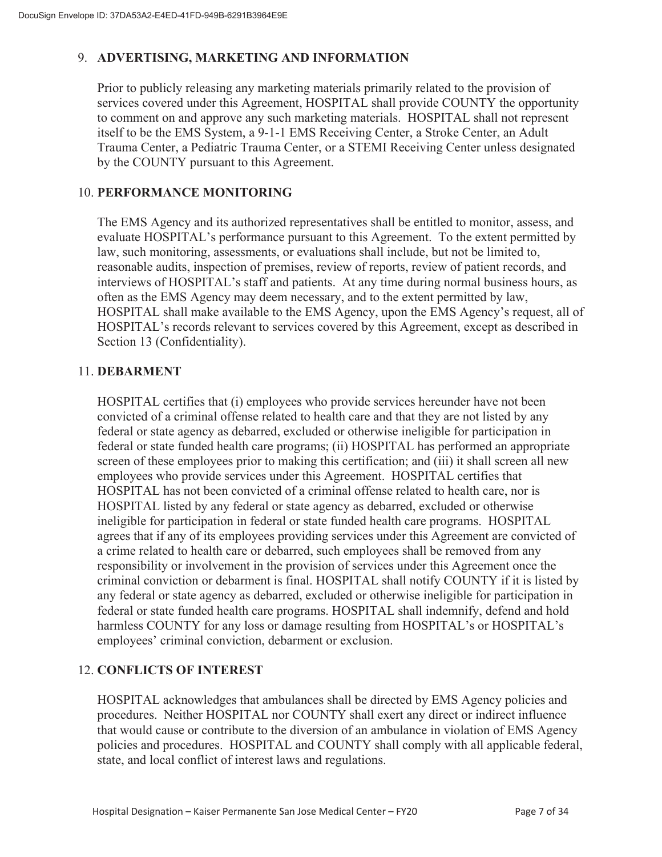# 9. **ADVERTISING, MARKETING AND INFORMATION**

Prior to publicly releasing any marketing materials primarily related to the provision of services covered under this Agreement, HOSPITAL shall provide COUNTY the opportunity to comment on and approve any such marketing materials. HOSPITAL shall not represent itself to be the EMS System, a 9-1-1 EMS Receiving Center, a Stroke Center, an Adult Trauma Center, a Pediatric Trauma Center, or a STEMI Receiving Center unless designated by the COUNTY pursuant to this Agreement.

# 10. **PERFORMANCE MONITORING**

The EMS Agency and its authorized representatives shall be entitled to monitor, assess, and evaluate HOSPITAL's performance pursuant to this Agreement. To the extent permitted by law, such monitoring, assessments, or evaluations shall include, but not be limited to, reasonable audits, inspection of premises, review of reports, review of patient records, and interviews of HOSPITAL's staff and patients. At any time during normal business hours, as often as the EMS Agency may deem necessary, and to the extent permitted by law, HOSPITAL shall make available to the EMS Agency, upon the EMS Agency's request, all of HOSPITAL's records relevant to services covered by this Agreement, except as described in Section 13 (Confidentiality).

#### 11. **DEBARMENT**

HOSPITAL certifies that (i) employees who provide services hereunder have not been convicted of a criminal offense related to health care and that they are not listed by any federal or state agency as debarred, excluded or otherwise ineligible for participation in federal or state funded health care programs; (ii) HOSPITAL has performed an appropriate screen of these employees prior to making this certification; and (iii) it shall screen all new employees who provide services under this Agreement. HOSPITAL certifies that HOSPITAL has not been convicted of a criminal offense related to health care, nor is HOSPITAL listed by any federal or state agency as debarred, excluded or otherwise ineligible for participation in federal or state funded health care programs. HOSPITAL agrees that if any of its employees providing services under this Agreement are convicted of a crime related to health care or debarred, such employees shall be removed from any responsibility or involvement in the provision of services under this Agreement once the criminal conviction or debarment is final. HOSPITAL shall notify COUNTY if it is listed by any federal or state agency as debarred, excluded or otherwise ineligible for participation in federal or state funded health care programs. HOSPITAL shall indemnify, defend and hold harmless COUNTY for any loss or damage resulting from HOSPITAL's or HOSPITAL's employees' criminal conviction, debarment or exclusion.

# 12. **CONFLICTS OF INTEREST**

HOSPITAL acknowledges that ambulances shall be directed by EMS Agency policies and procedures. Neither HOSPITAL nor COUNTY shall exert any direct or indirect influence that would cause or contribute to the diversion of an ambulance in violation of EMS Agency policies and procedures. HOSPITAL and COUNTY shall comply with all applicable federal, state, and local conflict of interest laws and regulations.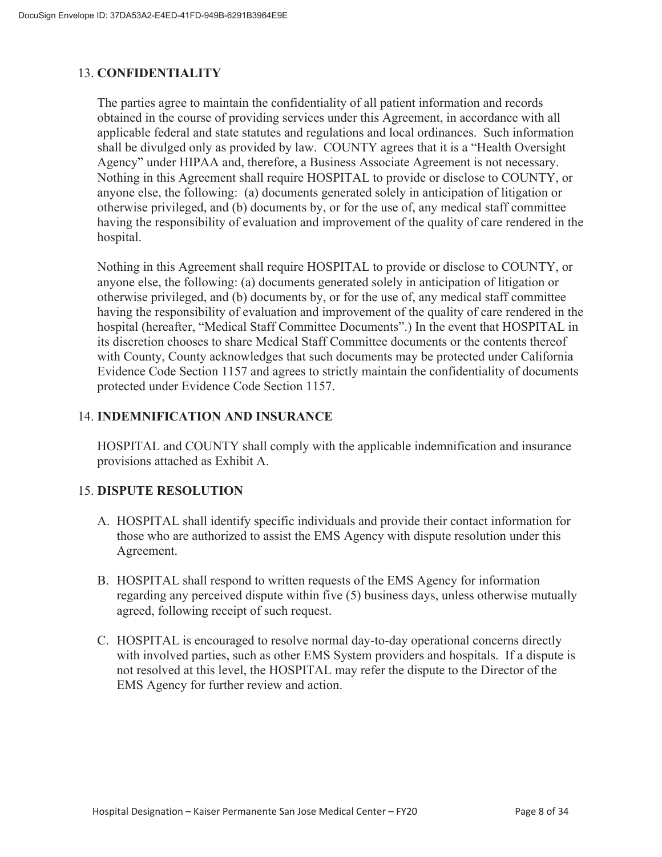# 13. **CONFIDENTIALITY**

The parties agree to maintain the confidentiality of all patient information and records obtained in the course of providing services under this Agreement, in accordance with all applicable federal and state statutes and regulations and local ordinances. Such information shall be divulged only as provided by law. COUNTY agrees that it is a "Health Oversight Agency" under HIPAA and, therefore, a Business Associate Agreement is not necessary. Nothing in this Agreement shall require HOSPITAL to provide or disclose to COUNTY, or anyone else, the following: (a) documents generated solely in anticipation of litigation or otherwise privileged, and (b) documents by, or for the use of, any medical staff committee having the responsibility of evaluation and improvement of the quality of care rendered in the hospital.

Nothing in this Agreement shall require HOSPITAL to provide or disclose to COUNTY, or anyone else, the following: (a) documents generated solely in anticipation of litigation or otherwise privileged, and (b) documents by, or for the use of, any medical staff committee having the responsibility of evaluation and improvement of the quality of care rendered in the hospital (hereafter, "Medical Staff Committee Documents".) In the event that HOSPITAL in its discretion chooses to share Medical Staff Committee documents or the contents thereof with County, County acknowledges that such documents may be protected under California Evidence Code Section 1157 and agrees to strictly maintain the confidentiality of documents protected under Evidence Code Section 1157.

## 14. **INDEMNIFICATION AND INSURANCE**

HOSPITAL and COUNTY shall comply with the applicable indemnification and insurance provisions attached as Exhibit A.

# 15. **DISPUTE RESOLUTION**

- A. HOSPITAL shall identify specific individuals and provide their contact information for those who are authorized to assist the EMS Agency with dispute resolution under this Agreement.
- B. HOSPITAL shall respond to written requests of the EMS Agency for information regarding any perceived dispute within five (5) business days, unless otherwise mutually agreed, following receipt of such request.
- C. HOSPITAL is encouraged to resolve normal day-to-day operational concerns directly with involved parties, such as other EMS System providers and hospitals. If a dispute is not resolved at this level, the HOSPITAL may refer the dispute to the Director of the EMS Agency for further review and action.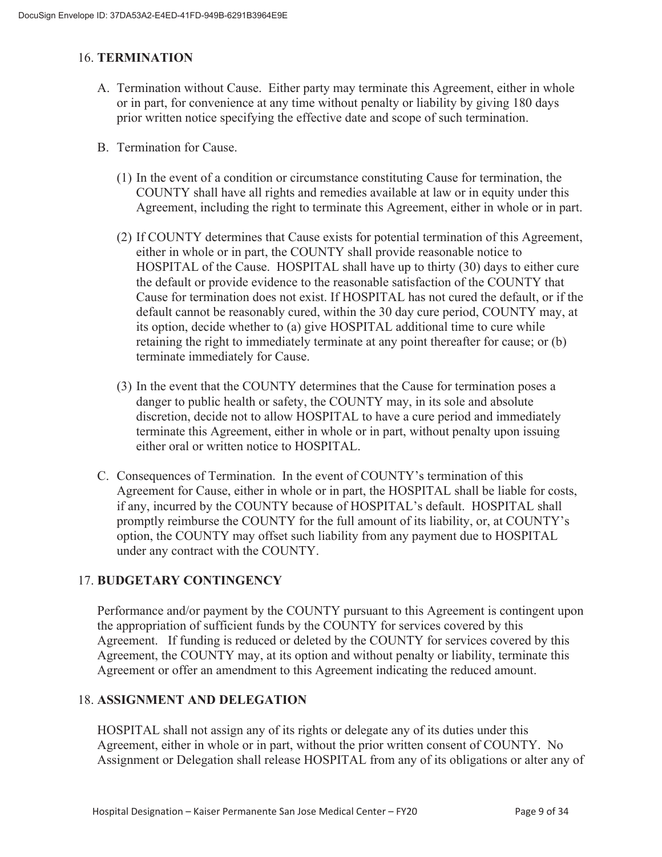## 16. **TERMINATION**

- A. Termination without Cause. Either party may terminate this Agreement, either in whole or in part, for convenience at any time without penalty or liability by giving 180 days prior written notice specifying the effective date and scope of such termination.
- B. Termination for Cause.
	- (1) In the event of a condition or circumstance constituting Cause for termination, the COUNTY shall have all rights and remedies available at law or in equity under this Agreement, including the right to terminate this Agreement, either in whole or in part.
	- (2) If COUNTY determines that Cause exists for potential termination of this Agreement, either in whole or in part, the COUNTY shall provide reasonable notice to HOSPITAL of the Cause. HOSPITAL shall have up to thirty (30) days to either cure the default or provide evidence to the reasonable satisfaction of the COUNTY that Cause for termination does not exist. If HOSPITAL has not cured the default, or if the default cannot be reasonably cured, within the 30 day cure period, COUNTY may, at its option, decide whether to (a) give HOSPITAL additional time to cure while retaining the right to immediately terminate at any point thereafter for cause; or (b) terminate immediately for Cause.
	- (3) In the event that the COUNTY determines that the Cause for termination poses a danger to public health or safety, the COUNTY may, in its sole and absolute discretion, decide not to allow HOSPITAL to have a cure period and immediately terminate this Agreement, either in whole or in part, without penalty upon issuing either oral or written notice to HOSPITAL.
- C. Consequences of Termination. In the event of COUNTY's termination of this Agreement for Cause, either in whole or in part, the HOSPITAL shall be liable for costs, if any, incurred by the COUNTY because of HOSPITAL's default. HOSPITAL shall promptly reimburse the COUNTY for the full amount of its liability, or, at COUNTY's option, the COUNTY may offset such liability from any payment due to HOSPITAL under any contract with the COUNTY.

# 17. **BUDGETARY CONTINGENCY**

Performance and/or payment by the COUNTY pursuant to this Agreement is contingent upon the appropriation of sufficient funds by the COUNTY for services covered by this Agreement. If funding is reduced or deleted by the COUNTY for services covered by this Agreement, the COUNTY may, at its option and without penalty or liability, terminate this Agreement or offer an amendment to this Agreement indicating the reduced amount.

# 18. **ASSIGNMENT AND DELEGATION**

HOSPITAL shall not assign any of its rights or delegate any of its duties under this Agreement, either in whole or in part, without the prior written consent of COUNTY. No Assignment or Delegation shall release HOSPITAL from any of its obligations or alter any of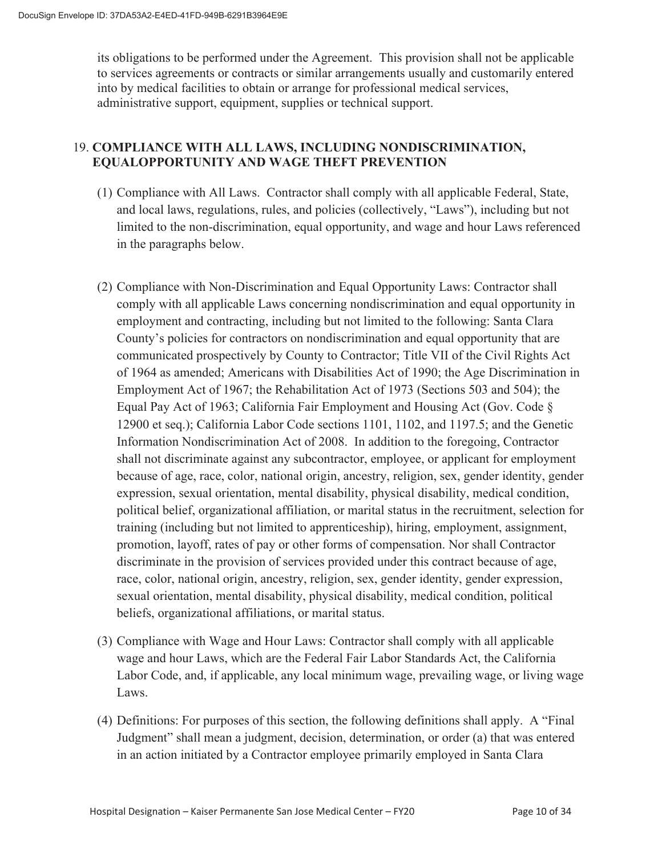its obligations to be performed under the Agreement. This provision shall not be applicable to services agreements or contracts or similar arrangements usually and customarily entered into by medical facilities to obtain or arrange for professional medical services, administrative support, equipment, supplies or technical support.

# 19. **COMPLIANCE WITH ALL LAWS, INCLUDING NONDISCRIMINATION, EQUALOPPORTUNITY AND WAGE THEFT PREVENTION**

- (1) Compliance with All Laws. Contractor shall comply with all applicable Federal, State, and local laws, regulations, rules, and policies (collectively, "Laws"), including but not limited to the non-discrimination, equal opportunity, and wage and hour Laws referenced in the paragraphs below.
- (2) Compliance with Non-Discrimination and Equal Opportunity Laws: Contractor shall comply with all applicable Laws concerning nondiscrimination and equal opportunity in employment and contracting, including but not limited to the following: Santa Clara County's policies for contractors on nondiscrimination and equal opportunity that are communicated prospectively by County to Contractor; Title VII of the Civil Rights Act of 1964 as amended; Americans with Disabilities Act of 1990; the Age Discrimination in Employment Act of 1967; the Rehabilitation Act of 1973 (Sections 503 and 504); the Equal Pay Act of 1963; California Fair Employment and Housing Act (Gov. Code § 12900 et seq.); California Labor Code sections 1101, 1102, and 1197.5; and the Genetic Information Nondiscrimination Act of 2008. In addition to the foregoing, Contractor shall not discriminate against any subcontractor, employee, or applicant for employment because of age, race, color, national origin, ancestry, religion, sex, gender identity, gender expression, sexual orientation, mental disability, physical disability, medical condition, political belief, organizational affiliation, or marital status in the recruitment, selection for training (including but not limited to apprenticeship), hiring, employment, assignment, promotion, layoff, rates of pay or other forms of compensation. Nor shall Contractor discriminate in the provision of services provided under this contract because of age, race, color, national origin, ancestry, religion, sex, gender identity, gender expression, sexual orientation, mental disability, physical disability, medical condition, political beliefs, organizational affiliations, or marital status.
- (3) Compliance with Wage and Hour Laws: Contractor shall comply with all applicable wage and hour Laws, which are the Federal Fair Labor Standards Act, the California Labor Code, and, if applicable, any local minimum wage, prevailing wage, or living wage Laws.
- (4) Definitions: For purposes of this section, the following definitions shall apply. A "Final Judgment" shall mean a judgment, decision, determination, or order (a) that was entered in an action initiated by a Contractor employee primarily employed in Santa Clara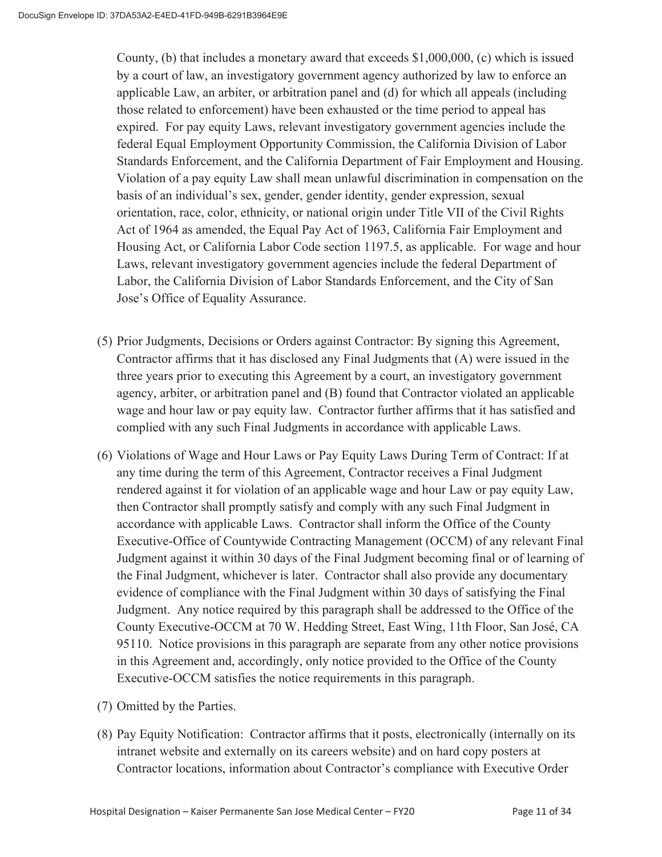County, (b) that includes a monetary award that exceeds \$1,000,000, (c) which is issued by a court of law, an investigatory government agency authorized by law to enforce an applicable Law, an arbiter, or arbitration panel and (d) for which all appeals (including those related to enforcement) have been exhausted or the time period to appeal has expired. For pay equity Laws, relevant investigatory government agencies include the federal Equal Employment Opportunity Commission, the California Division of Labor Standards Enforcement, and the California Department of Fair Employment and Housing. Violation of a pay equity Law shall mean unlawful discrimination in compensation on the basis of an individual's sex, gender, gender identity, gender expression, sexual orientation, race, color, ethnicity, or national origin under Title VII of the Civil Rights Act of 1964 as amended, the Equal Pay Act of 1963, California Fair Employment and Housing Act, or California Labor Code section 1197.5, as applicable. For wage and hour Laws, relevant investigatory government agencies include the federal Department of Labor, the California Division of Labor Standards Enforcement, and the City of San Jose's Office of Equality Assurance.

- (5) Prior Judgments, Decisions or Orders against Contractor: By signing this Agreement, Contractor affirms that it has disclosed any Final Judgments that (A) were issued in the three years prior to executing this Agreement by a court, an investigatory government agency, arbiter, or arbitration panel and (B) found that Contractor violated an applicable wage and hour law or pay equity law. Contractor further affirms that it has satisfied and complied with any such Final Judgments in accordance with applicable Laws.
- (6) Violations of Wage and Hour Laws or Pay Equity Laws During Term of Contract: If at any time during the term of this Agreement, Contractor receives a Final Judgment rendered against it for violation of an applicable wage and hour Law or pay equity Law, then Contractor shall promptly satisfy and comply with any such Final Judgment in accordance with applicable Laws. Contractor shall inform the Office of the County Executive-Office of Countywide Contracting Management (OCCM) of any relevant Final Judgment against it within 30 days of the Final Judgment becoming final or of learning of the Final Judgment, whichever is later. Contractor shall also provide any documentary evidence of compliance with the Final Judgment within 30 days of satisfying the Final Judgment. Any notice required by this paragraph shall be addressed to the Office of the County Executive-OCCM at 70 W. Hedding Street, East Wing, 11th Floor, San José, CA 95110. Notice provisions in this paragraph are separate from any other notice provisions in this Agreement and, accordingly, only notice provided to the Office of the County Executive-OCCM satisfies the notice requirements in this paragraph.
- (7) Omitted by the Parties.
- (8) Pay Equity Notification: Contractor affirms that it posts, electronically (internally on its intranet website and externally on its careers website) and on hard copy posters at Contractor locations, information about Contractor's compliance with Executive Order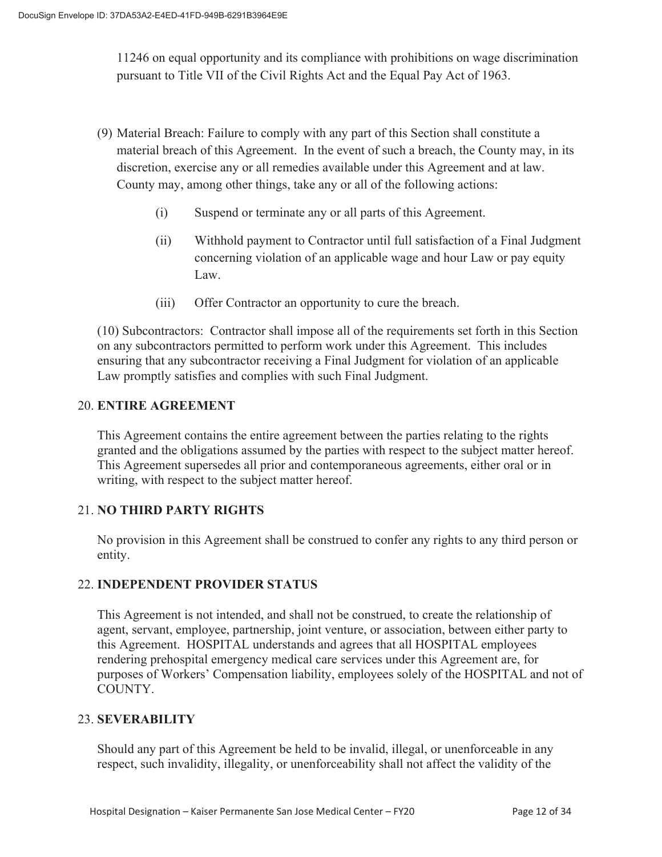11246 on equal opportunity and its compliance with prohibitions on wage discrimination pursuant to Title VII of the Civil Rights Act and the Equal Pay Act of 1963.

- (9) Material Breach: Failure to comply with any part of this Section shall constitute a material breach of this Agreement. In the event of such a breach, the County may, in its discretion, exercise any or all remedies available under this Agreement and at law. County may, among other things, take any or all of the following actions:
	- (i) Suspend or terminate any or all parts of this Agreement.
	- (ii) Withhold payment to Contractor until full satisfaction of a Final Judgment concerning violation of an applicable wage and hour Law or pay equity Law.
	- (iii) Offer Contractor an opportunity to cure the breach.

(10) Subcontractors: Contractor shall impose all of the requirements set forth in this Section on any subcontractors permitted to perform work under this Agreement. This includes ensuring that any subcontractor receiving a Final Judgment for violation of an applicable Law promptly satisfies and complies with such Final Judgment.

## 20. **ENTIRE AGREEMENT**

 This Agreement contains the entire agreement between the parties relating to the rights granted and the obligations assumed by the parties with respect to the subject matter hereof. This Agreement supersedes all prior and contemporaneous agreements, either oral or in writing, with respect to the subject matter hereof.

# 21. **NO THIRD PARTY RIGHTS**

No provision in this Agreement shall be construed to confer any rights to any third person or entity.

### 22. **INDEPENDENT PROVIDER STATUS**

This Agreement is not intended, and shall not be construed, to create the relationship of agent, servant, employee, partnership, joint venture, or association, between either party to this Agreement. HOSPITAL understands and agrees that all HOSPITAL employees rendering prehospital emergency medical care services under this Agreement are, for purposes of Workers' Compensation liability, employees solely of the HOSPITAL and not of COUNTY.

#### 23. **SEVERABILITY**

Should any part of this Agreement be held to be invalid, illegal, or unenforceable in any respect, such invalidity, illegality, or unenforceability shall not affect the validity of the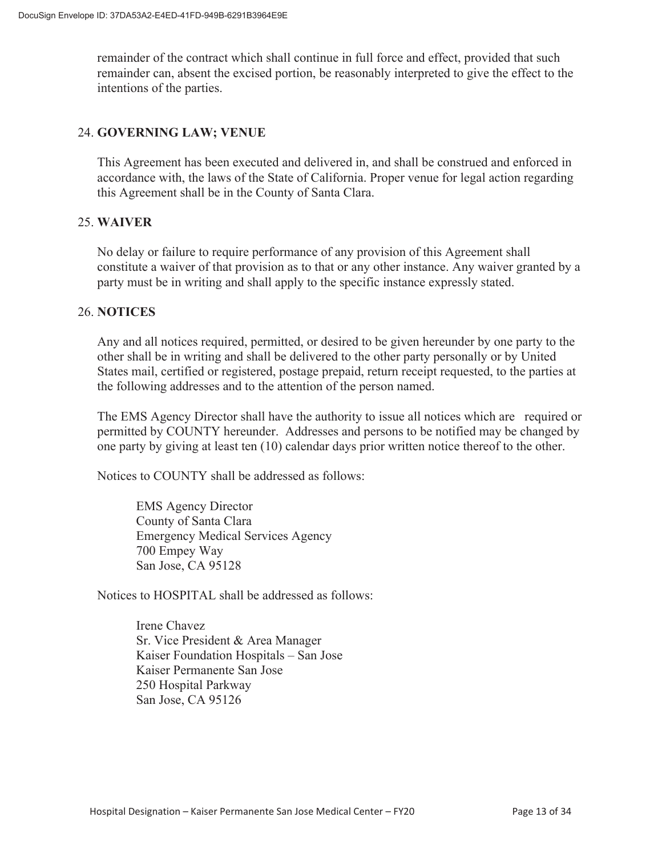remainder of the contract which shall continue in full force and effect, provided that such remainder can, absent the excised portion, be reasonably interpreted to give the effect to the intentions of the parties.

### 24. **GOVERNING LAW; VENUE**

This Agreement has been executed and delivered in, and shall be construed and enforced in accordance with, the laws of the State of California. Proper venue for legal action regarding this Agreement shall be in the County of Santa Clara.

## 25. **WAIVER**

No delay or failure to require performance of any provision of this Agreement shall constitute a waiver of that provision as to that or any other instance. Any waiver granted by a party must be in writing and shall apply to the specific instance expressly stated.

#### 26. **NOTICES**

Any and all notices required, permitted, or desired to be given hereunder by one party to the other shall be in writing and shall be delivered to the other party personally or by United States mail, certified or registered, postage prepaid, return receipt requested, to the parties at the following addresses and to the attention of the person named.

The EMS Agency Director shall have the authority to issue all notices which are required or permitted by COUNTY hereunder. Addresses and persons to be notified may be changed by one party by giving at least ten (10) calendar days prior written notice thereof to the other.

Notices to COUNTY shall be addressed as follows:

EMS Agency Director County of Santa Clara Emergency Medical Services Agency 700 Empey Way San Jose, CA 95128

Notices to HOSPITAL shall be addressed as follows:

Irene Chavez Sr. Vice President & Area Manager Kaiser Foundation Hospitals – San Jose Kaiser Permanente San Jose 250 Hospital Parkway San Jose, CA 95126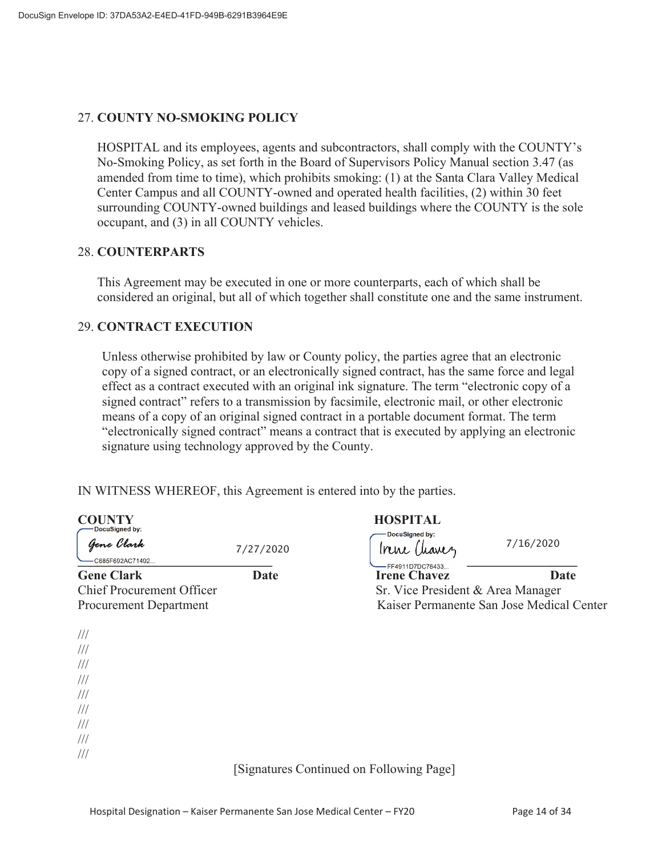#### 27. **COUNTY NO-SMOKING POLICY**

HOSPITAL and its employees, agents and subcontractors, shall comply with the COUNTY's No-Smoking Policy, as set forth in the Board of Supervisors Policy Manual section 3.47 (as amended from time to time), which prohibits smoking: (1) at the Santa Clara Valley Medical Center Campus and all COUNTY-owned and operated health facilities, (2) within 30 feet surrounding COUNTY-owned buildings and leased buildings where the COUNTY is the sole occupant, and (3) in all COUNTY vehicles.

#### 28. **COUNTERPARTS**

This Agreement may be executed in one or more counterparts, each of which shall be considered an original, but all of which together shall constitute one and the same instrument.

#### 29. **CONTRACT EXECUTION**

Unless otherwise prohibited by law or County policy, the parties agree that an electronic copy of a signed contract, or an electronically signed contract, has the same force and legal effect as a contract executed with an original ink signature. The term "electronic copy of a signed contract" refers to a transmission by facsimile, electronic mail, or other electronic means of a copy of an original signed contract in a portable document format. The term "electronically signed contract" means a contract that is executed by applying an electronic signature using technology approved by the County.

IN WITNESS WHEREOF, this Agreement is entered into by the parties.

| DocuSigned by:                                                    |             | <b>HOSPITAL</b><br>DocuSigned by:       |                                           |
|-------------------------------------------------------------------|-------------|-----------------------------------------|-------------------------------------------|
| Gene Clark<br>-C685F692AC71492                                    | 7/27/2020   | Trene Chanez                            | 7/16/2020                                 |
| <b>Gene Clark</b>                                                 | <b>Date</b> | -FF4911D7DC78433<br><b>Irene Chavez</b> | <b>Date</b>                               |
| <b>Chief Procurement Officer</b><br><b>Procurement Department</b> |             | Sr. Vice President & Area Manager       | Kaiser Permanente San Jose Medical Center |
| $\frac{1}{1}$                                                     |             |                                         |                                           |
| $\frac{1}{1}$                                                     |             |                                         |                                           |
| $\frac{1}{1}$                                                     |             |                                         |                                           |
| $\frac{1}{1}$                                                     |             |                                         |                                           |
| $\frac{1}{1}$                                                     |             |                                         |                                           |
| $\frac{1}{1}$                                                     |             |                                         |                                           |
| $\frac{1}{1}$                                                     |             |                                         |                                           |
| $\frac{1}{1}$<br>$\frac{1}{2}$                                    |             |                                         |                                           |

[Signatures Continued on Following Page]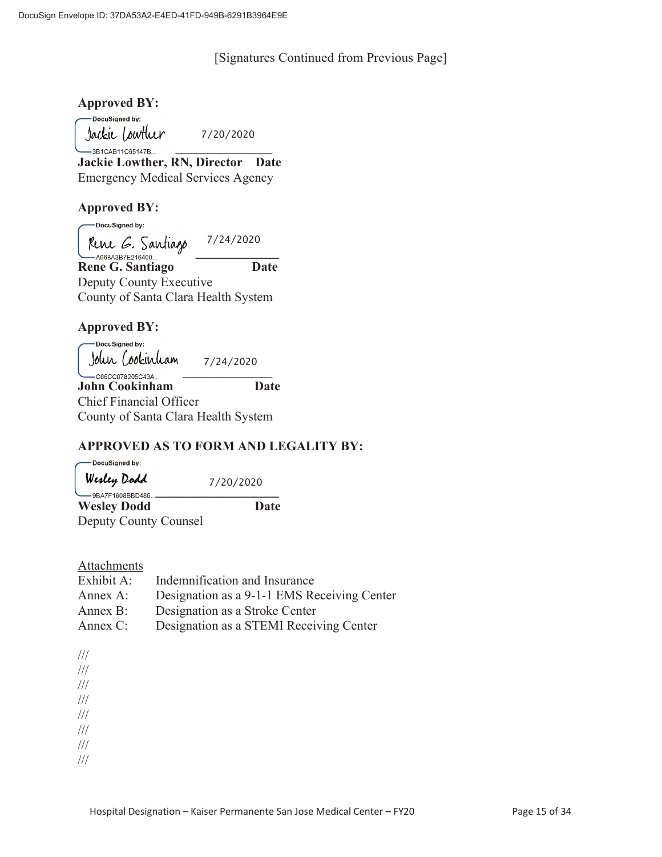#### [Signatures Continued from Previous Page]

#### **Approved BY:**

-DocuSigned by: Jackie Lowther

7/20/2020

**\_\_\_** 3B1CAB11C65147B... **Jackie Lowther, RN, Director Date** Emergency Medical Services Agency

## **Approved BY:**

-DocuSigned by:

7/24/2020

Rene G. Santiago<br>— A968A3B7E216400... **Rene G. Santiago Date**  Deputy County Executive County of Santa Clara Health System

## **Approved BY:**

 DocuSigned by: Jolur Cookirliam<br><sup>\_\_</sup>csscco78205c43A... \_\_\_\_\_ 7/24/2020

**John Cookinham Date** Chief Financial Officer County of Santa Clara Health System

# **APPROVED AS TO FORM AND LEGALITY BY:**

-DocuSigned by: Werley Dodd 7/20/2020 **\_\_\_\_\_\_\_\_\_\_\_\_\_\_\_\_\_\_\_\_\_\_\_\_\_\_\_\_\_\_\_ Wesley Dodd Date**  Deputy County Counsel

#### Attachments

| Exhibit A: | Indemnification and Insurance               |
|------------|---------------------------------------------|
| Annex A:   | Designation as a 9-1-1 EMS Receiving Center |
| Annex B:   | Designation as a Stroke Center              |
| Annex C:   | Designation as a STEMI Receiving Center     |

///

/// ///

///

///

///

///

///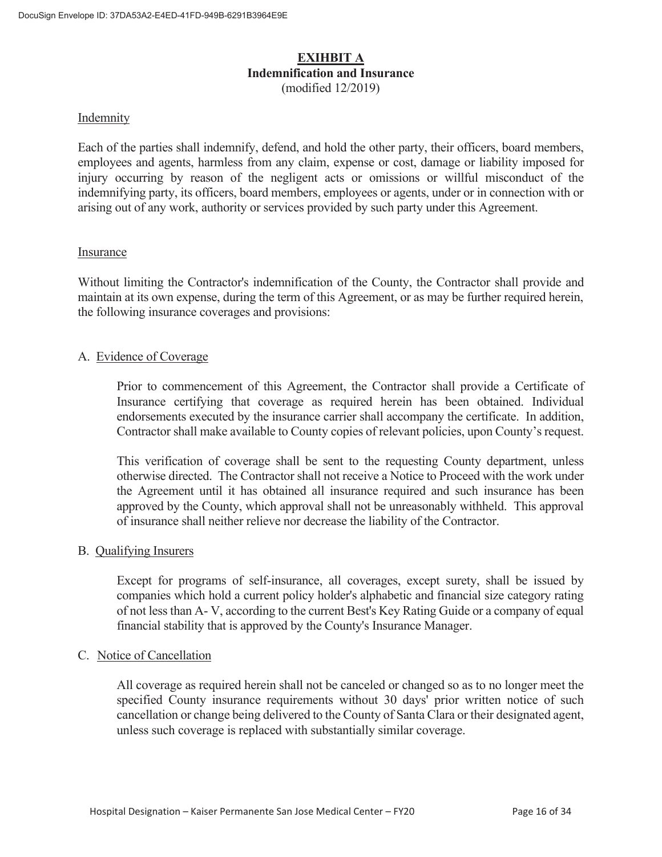### **EXIHBIT A Indemnification and Insurance**  (modified 12/2019)

#### Indemnity

Each of the parties shall indemnify, defend, and hold the other party, their officers, board members, employees and agents, harmless from any claim, expense or cost, damage or liability imposed for injury occurring by reason of the negligent acts or omissions or willful misconduct of the indemnifying party, its officers, board members, employees or agents, under or in connection with or arising out of any work, authority or services provided by such party under this Agreement.

#### Insurance

Without limiting the Contractor's indemnification of the County, the Contractor shall provide and maintain at its own expense, during the term of this Agreement, or as may be further required herein, the following insurance coverages and provisions:

#### A. Evidence of Coverage

 Prior to commencement of this Agreement, the Contractor shall provide a Certificate of Insurance certifying that coverage as required herein has been obtained. Individual endorsements executed by the insurance carrier shall accompany the certificate. In addition, Contractor shall make available to County copies of relevant policies, upon County's request.

 This verification of coverage shall be sent to the requesting County department, unless otherwise directed. The Contractor shall not receive a Notice to Proceed with the work under the Agreement until it has obtained all insurance required and such insurance has been approved by the County, which approval shall not be unreasonably withheld. This approval of insurance shall neither relieve nor decrease the liability of the Contractor.

#### B. Qualifying Insurers

 Except for programs of self-insurance, all coverages, except surety, shall be issued by companies which hold a current policy holder's alphabetic and financial size category rating of not less than A- V, according to the current Best's Key Rating Guide or a company of equal financial stability that is approved by the County's Insurance Manager.

#### C. Notice of Cancellation

All coverage as required herein shall not be canceled or changed so as to no longer meet the specified County insurance requirements without 30 days' prior written notice of such cancellation or change being delivered to the County of Santa Clara or their designated agent, unless such coverage is replaced with substantially similar coverage.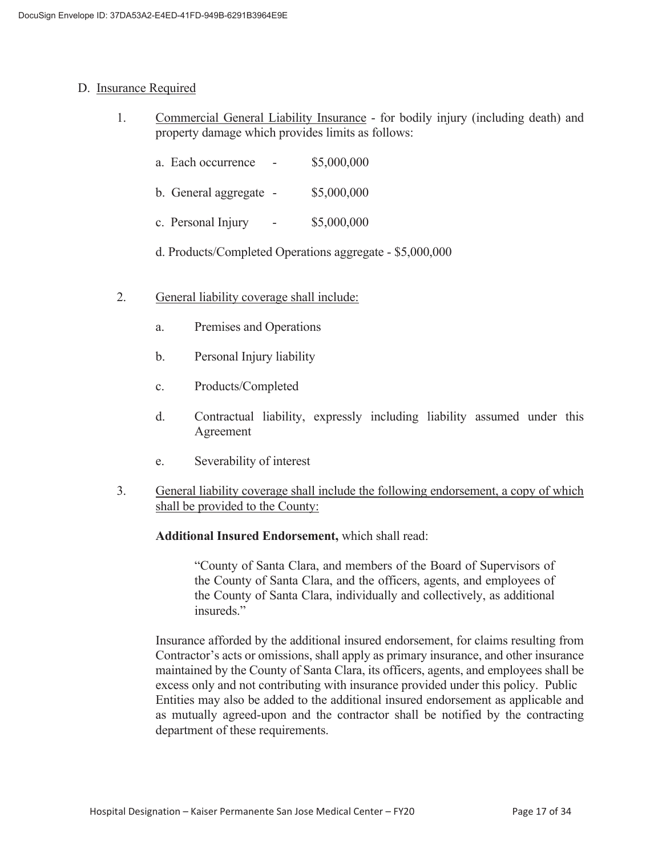#### D. Insurance Required

- 1. Commercial General Liability Insurance for bodily injury (including death) and property damage which provides limits as follows:
	- a. Each occurrence \$5,000,000
	- b. General aggregate \$5,000,000
	- c. Personal Injury \$5,000,000
	- d. Products/Completed Operations aggregate \$5,000,000
- 2. General liability coverage shall include:
	- a. Premises and Operations
	- b. Personal Injury liability
	- c. Products/Completed
	- d. Contractual liability, expressly including liability assumed under this Agreement
	- e. Severability of interest
- 3. General liability coverage shall include the following endorsement, a copy of which shall be provided to the County:

#### **Additional Insured Endorsement,** which shall read:

 "County of Santa Clara, and members of the Board of Supervisors of the County of Santa Clara, and the officers, agents, and employees of the County of Santa Clara, individually and collectively, as additional insureds."

 Insurance afforded by the additional insured endorsement, for claims resulting from Contractor's acts or omissions, shall apply as primary insurance, and other insurance maintained by the County of Santa Clara, its officers, agents, and employees shall be excess only and not contributing with insurance provided under this policy. Public Entities may also be added to the additional insured endorsement as applicable and as mutually agreed-upon and the contractor shall be notified by the contracting department of these requirements.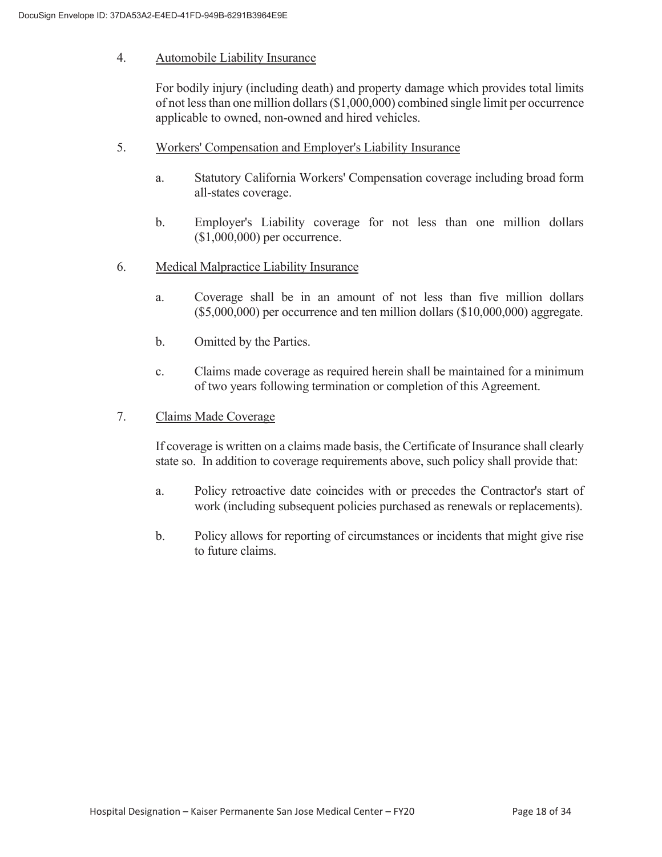#### 4. Automobile Liability Insurance

 For bodily injury (including death) and property damage which provides total limits of not less than one million dollars (\$1,000,000) combined single limit per occurrence applicable to owned, non-owned and hired vehicles.

- 5. Workers' Compensation and Employer's Liability Insurance
	- a. Statutory California Workers' Compensation coverage including broad form all-states coverage.
	- b. Employer's Liability coverage for not less than one million dollars (\$1,000,000) per occurrence.
- 6. Medical Malpractice Liability Insurance
	- a. Coverage shall be in an amount of not less than five million dollars (\$5,000,000) per occurrence and ten million dollars (\$10,000,000) aggregate.
	- b. Omitted by the Parties.
	- c. Claims made coverage as required herein shall be maintained for a minimum of two years following termination or completion of this Agreement.
- 7. Claims Made Coverage

 If coverage is written on a claims made basis, the Certificate of Insurance shall clearly state so. In addition to coverage requirements above, such policy shall provide that:

- a. Policy retroactive date coincides with or precedes the Contractor's start of work (including subsequent policies purchased as renewals or replacements).
- b. Policy allows for reporting of circumstances or incidents that might give rise to future claims.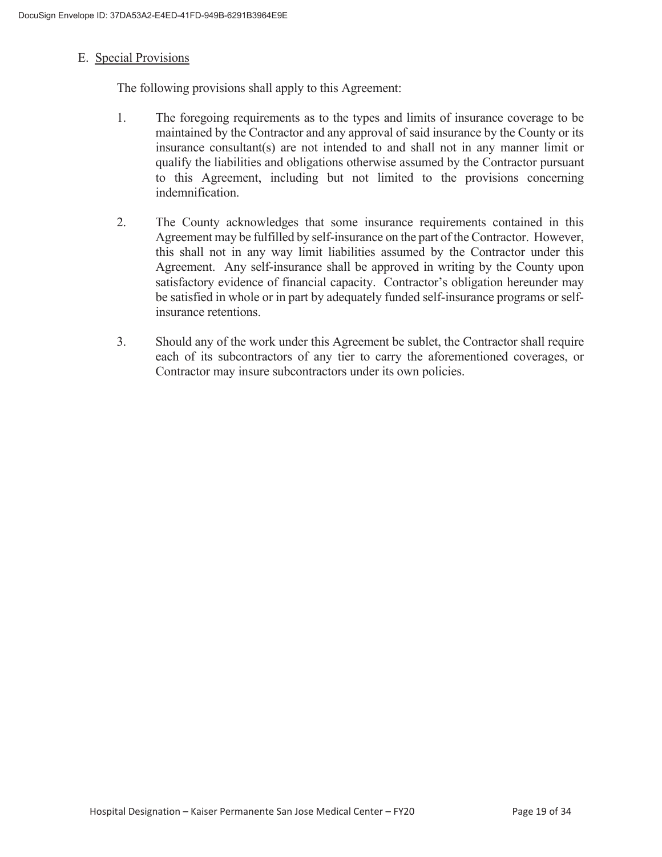#### E. Special Provisions

The following provisions shall apply to this Agreement:

- 1. The foregoing requirements as to the types and limits of insurance coverage to be maintained by the Contractor and any approval of said insurance by the County or its insurance consultant(s) are not intended to and shall not in any manner limit or qualify the liabilities and obligations otherwise assumed by the Contractor pursuant to this Agreement, including but not limited to the provisions concerning indemnification.
- 2. The County acknowledges that some insurance requirements contained in this Agreement may be fulfilled by self-insurance on the part of the Contractor. However, this shall not in any way limit liabilities assumed by the Contractor under this Agreement. Any self-insurance shall be approved in writing by the County upon satisfactory evidence of financial capacity. Contractor's obligation hereunder may be satisfied in whole or in part by adequately funded self-insurance programs or selfinsurance retentions.
- 3. Should any of the work under this Agreement be sublet, the Contractor shall require each of its subcontractors of any tier to carry the aforementioned coverages, or Contractor may insure subcontractors under its own policies.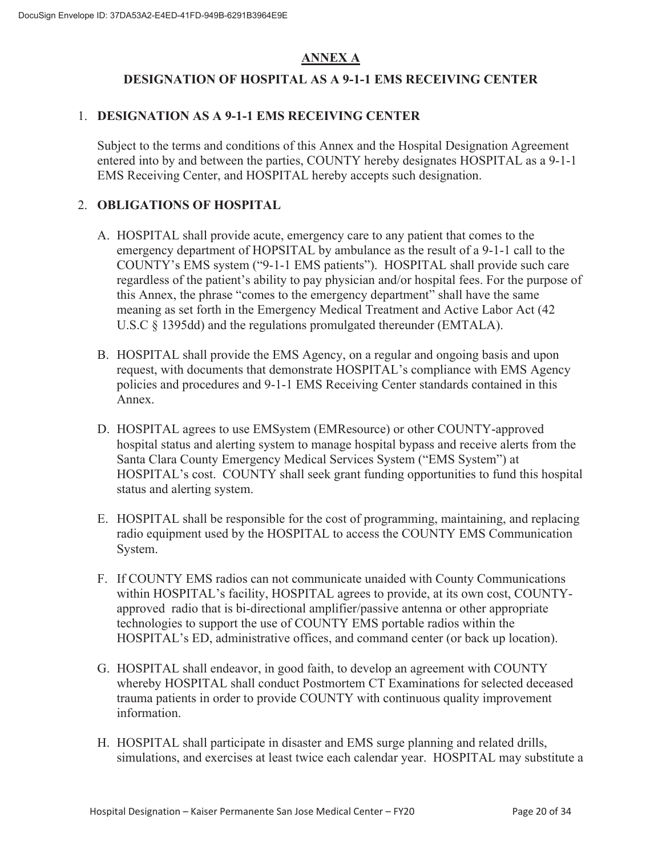# **ANNEX A**

# **DESIGNATION OF HOSPITAL AS A 9-1-1 EMS RECEIVING CENTER**

# 1. **DESIGNATION AS A 9-1-1 EMS RECEIVING CENTER**

Subject to the terms and conditions of this Annex and the Hospital Designation Agreement entered into by and between the parties, COUNTY hereby designates HOSPITAL as a 9-1-1 EMS Receiving Center, and HOSPITAL hereby accepts such designation.

# 2. **OBLIGATIONS OF HOSPITAL**

- A. HOSPITAL shall provide acute, emergency care to any patient that comes to the emergency department of HOPSITAL by ambulance as the result of a 9-1-1 call to the COUNTY's EMS system ("9-1-1 EMS patients"). HOSPITAL shall provide such care regardless of the patient's ability to pay physician and/or hospital fees. For the purpose of this Annex, the phrase "comes to the emergency department" shall have the same meaning as set forth in the Emergency Medical Treatment and Active Labor Act (42 U.S.C § 1395dd) and the regulations promulgated thereunder (EMTALA).
- B. HOSPITAL shall provide the EMS Agency, on a regular and ongoing basis and upon request, with documents that demonstrate HOSPITAL's compliance with EMS Agency policies and procedures and 9-1-1 EMS Receiving Center standards contained in this Annex.
- D. HOSPITAL agrees to use EMSystem (EMResource) or other COUNTY-approved hospital status and alerting system to manage hospital bypass and receive alerts from the Santa Clara County Emergency Medical Services System ("EMS System") at HOSPITAL's cost. COUNTY shall seek grant funding opportunities to fund this hospital status and alerting system.
- E. HOSPITAL shall be responsible for the cost of programming, maintaining, and replacing radio equipment used by the HOSPITAL to access the COUNTY EMS Communication System.
- F. If COUNTY EMS radios can not communicate unaided with County Communications within HOSPITAL's facility, HOSPITAL agrees to provide, at its own cost, COUNTYapproved radio that is bi-directional amplifier/passive antenna or other appropriate technologies to support the use of COUNTY EMS portable radios within the HOSPITAL's ED, administrative offices, and command center (or back up location).
- G. HOSPITAL shall endeavor, in good faith, to develop an agreement with COUNTY whereby HOSPITAL shall conduct Postmortem CT Examinations for selected deceased trauma patients in order to provide COUNTY with continuous quality improvement information.
- H. HOSPITAL shall participate in disaster and EMS surge planning and related drills, simulations, and exercises at least twice each calendar year. HOSPITAL may substitute a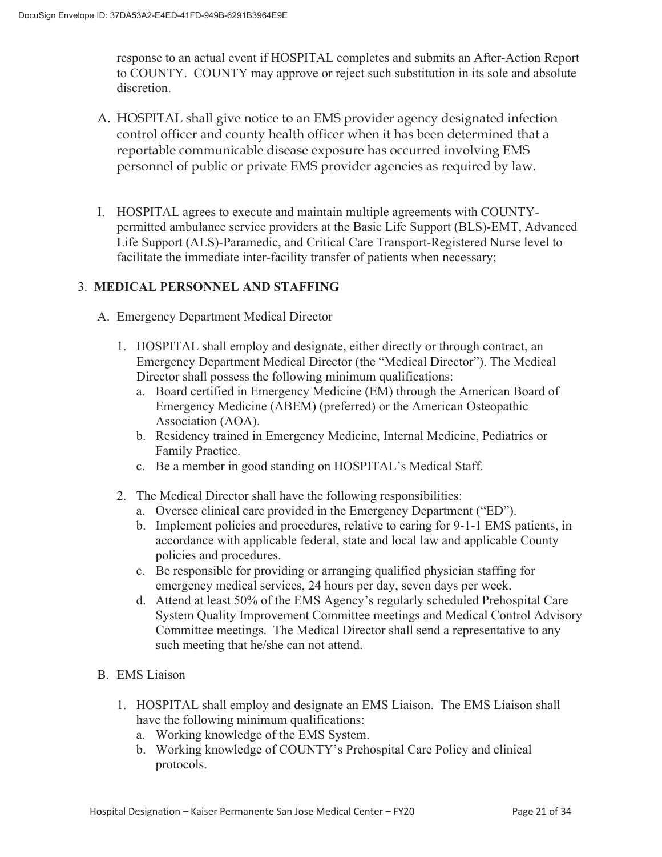response to an actual event if HOSPITAL completes and submits an After-Action Report to COUNTY. COUNTY may approve or reject such substitution in its sole and absolute discretion.

- A. HOSPITAL shall give notice to an EMS provider agency designated infection control officer and county health officer when it has been determined that a reportable communicable disease exposure has occurred involving EMS personnel of public or private EMS provider agencies as required by law.
- I. HOSPITAL agrees to execute and maintain multiple agreements with COUNTYpermitted ambulance service providers at the Basic Life Support (BLS)-EMT, Advanced Life Support (ALS)-Paramedic, and Critical Care Transport-Registered Nurse level to facilitate the immediate inter-facility transfer of patients when necessary;

## 3. **MEDICAL PERSONNEL AND STAFFING**

- A. Emergency Department Medical Director
	- 1. HOSPITAL shall employ and designate, either directly or through contract, an Emergency Department Medical Director (the "Medical Director"). The Medical Director shall possess the following minimum qualifications:
		- a. Board certified in Emergency Medicine (EM) through the American Board of Emergency Medicine (ABEM) (preferred) or the American Osteopathic Association (AOA).
		- b. Residency trained in Emergency Medicine, Internal Medicine, Pediatrics or Family Practice.
		- c. Be a member in good standing on HOSPITAL's Medical Staff.
	- 2. The Medical Director shall have the following responsibilities:
		- a. Oversee clinical care provided in the Emergency Department ("ED").
		- b. Implement policies and procedures, relative to caring for 9-1-1 EMS patients, in accordance with applicable federal, state and local law and applicable County policies and procedures.
		- c. Be responsible for providing or arranging qualified physician staffing for emergency medical services, 24 hours per day, seven days per week.
		- d. Attend at least 50% of the EMS Agency's regularly scheduled Prehospital Care System Quality Improvement Committee meetings and Medical Control Advisory Committee meetings. The Medical Director shall send a representative to any such meeting that he/she can not attend.
- B. EMS Liaison
	- 1. HOSPITAL shall employ and designate an EMS Liaison. The EMS Liaison shall have the following minimum qualifications:
		- a. Working knowledge of the EMS System.
		- b. Working knowledge of COUNTY's Prehospital Care Policy and clinical protocols.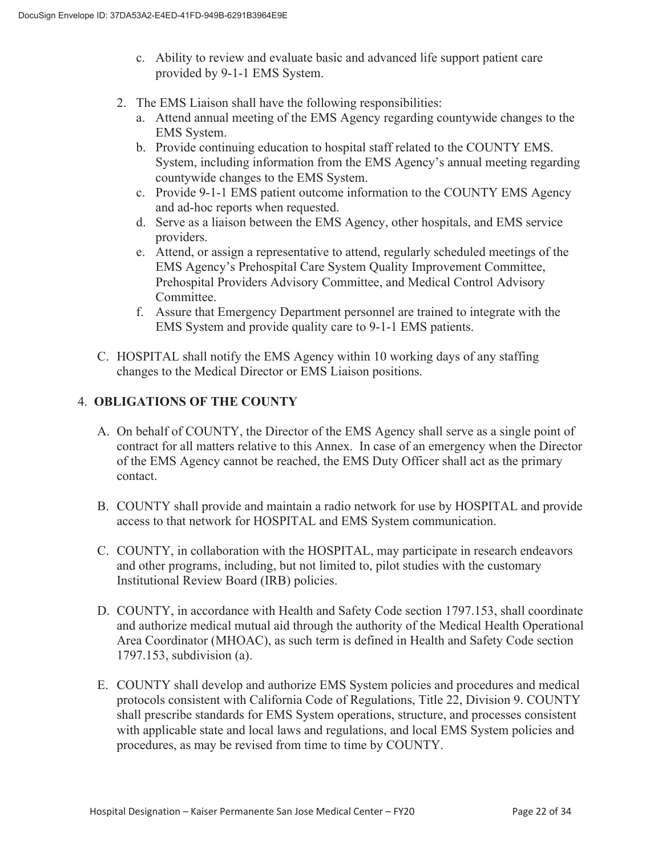- c. Ability to review and evaluate basic and advanced life support patient care provided by 9-1-1 EMS System.
- 2. The EMS Liaison shall have the following responsibilities:
	- a. Attend annual meeting of the EMS Agency regarding countywide changes to the EMS System.
	- b. Provide continuing education to hospital staff related to the COUNTY EMS. System, including information from the EMS Agency's annual meeting regarding countywide changes to the EMS System.
	- c. Provide 9-1-1 EMS patient outcome information to the COUNTY EMS Agency and ad-hoc reports when requested.
	- d. Serve as a liaison between the EMS Agency, other hospitals, and EMS service providers.
	- e. Attend, or assign a representative to attend, regularly scheduled meetings of the EMS Agency's Prehospital Care System Quality Improvement Committee, Prehospital Providers Advisory Committee, and Medical Control Advisory Committee.
	- f. Assure that Emergency Department personnel are trained to integrate with the EMS System and provide quality care to 9-1-1 EMS patients.
- C. HOSPITAL shall notify the EMS Agency within 10 working days of any staffing changes to the Medical Director or EMS Liaison positions.

# 4. **OBLIGATIONS OF THE COUNTY**

- A. On behalf of COUNTY, the Director of the EMS Agency shall serve as a single point of contract for all matters relative to this Annex. In case of an emergency when the Director of the EMS Agency cannot be reached, the EMS Duty Officer shall act as the primary contact.
- B. COUNTY shall provide and maintain a radio network for use by HOSPITAL and provide access to that network for HOSPITAL and EMS System communication.
- C. COUNTY, in collaboration with the HOSPITAL, may participate in research endeavors and other programs, including, but not limited to, pilot studies with the customary Institutional Review Board (IRB) policies.
- D. COUNTY, in accordance with Health and Safety Code section 1797.153, shall coordinate and authorize medical mutual aid through the authority of the Medical Health Operational Area Coordinator (MHOAC), as such term is defined in Health and Safety Code section 1797.153, subdivision (a).
- E. COUNTY shall develop and authorize EMS System policies and procedures and medical protocols consistent with California Code of Regulations, Title 22, Division 9. COUNTY shall prescribe standards for EMS System operations, structure, and processes consistent with applicable state and local laws and regulations, and local EMS System policies and procedures, as may be revised from time to time by COUNTY.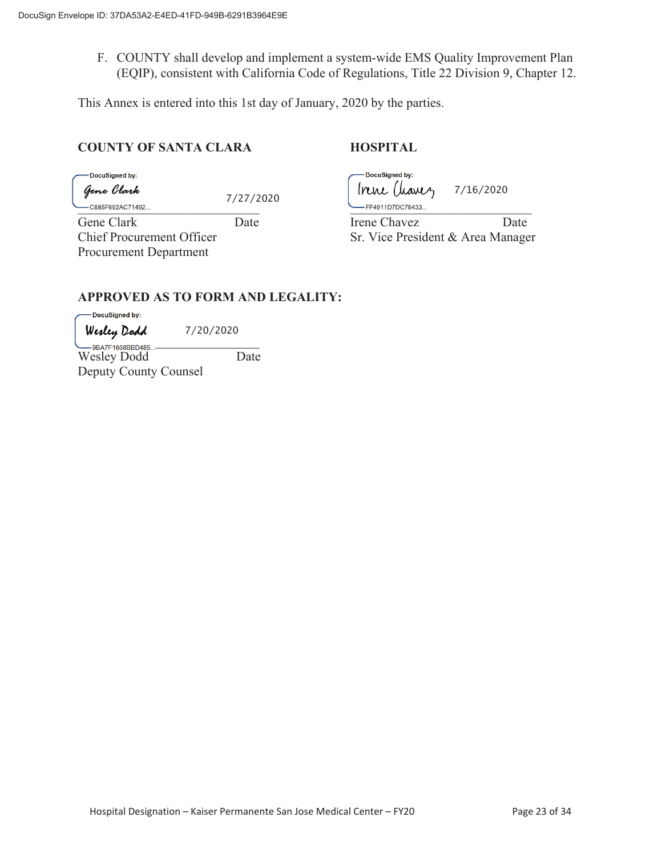F. COUNTY shall develop and implement a system-wide EMS Quality Improvement Plan (EQIP), consistent with California Code of Regulations, Title 22 Division 9, Chapter 12.

This Annex is entered into this 1st day of January, 2020 by the parties.

## **COUNTY OF SANTA CLARA HOSPITAL**

DocuSigned by:

Gene Clark

7/27/2020

Procurement Department

DocuSigned by: Irene Chanez 7/16/2020

 $-$ C685F692AC71492...  $\begin{array}{c} \begin{array}{c} \bullet \end{array}$ 

Gene Clark Date Date Irene Chavez Date Chief Procurement Officer Sr. Vice President & Area Manager

# **APPROVED AS TO FORM AND LEGALITY:**

DocuSigned by:

7/20/2020

 $-$ 9BAZE1608BBD485 Wesley Dodd Date Deputy County Counsel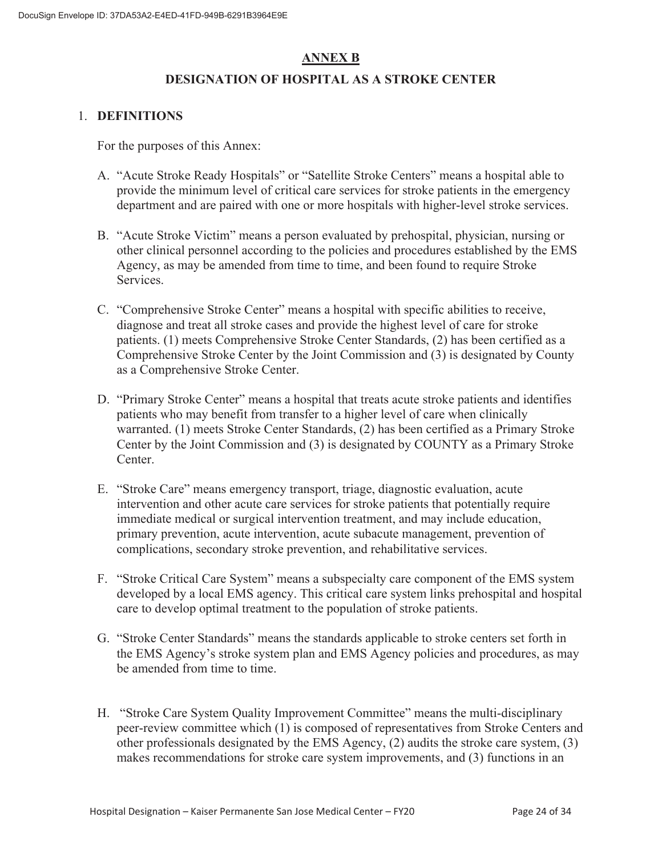# **ANNEX B**

# **DESIGNATION OF HOSPITAL AS A STROKE CENTER**

### 1. **DEFINITIONS**

For the purposes of this Annex:

- A. "Acute Stroke Ready Hospitals" or "Satellite Stroke Centers" means a hospital able to provide the minimum level of critical care services for stroke patients in the emergency department and are paired with one or more hospitals with higher-level stroke services.
- B. "Acute Stroke Victim" means a person evaluated by prehospital, physician, nursing or other clinical personnel according to the policies and procedures established by the EMS Agency, as may be amended from time to time, and been found to require Stroke Services.
- C. "Comprehensive Stroke Center" means a hospital with specific abilities to receive, diagnose and treat all stroke cases and provide the highest level of care for stroke patients. (1) meets Comprehensive Stroke Center Standards, (2) has been certified as a Comprehensive Stroke Center by the Joint Commission and (3) is designated by County as a Comprehensive Stroke Center.
- D. "Primary Stroke Center" means a hospital that treats acute stroke patients and identifies patients who may benefit from transfer to a higher level of care when clinically warranted. (1) meets Stroke Center Standards, (2) has been certified as a Primary Stroke Center by the Joint Commission and (3) is designated by COUNTY as a Primary Stroke Center.
- E. "Stroke Care" means emergency transport, triage, diagnostic evaluation, acute intervention and other acute care services for stroke patients that potentially require immediate medical or surgical intervention treatment, and may include education, primary prevention, acute intervention, acute subacute management, prevention of complications, secondary stroke prevention, and rehabilitative services.
- F. "Stroke Critical Care System" means a subspecialty care component of the EMS system developed by a local EMS agency. This critical care system links prehospital and hospital care to develop optimal treatment to the population of stroke patients.
- G. "Stroke Center Standards" means the standards applicable to stroke centers set forth in the EMS Agency's stroke system plan and EMS Agency policies and procedures, as may be amended from time to time.
- H. "Stroke Care System Quality Improvement Committee" means the multi-disciplinary peer-review committee which (1) is composed of representatives from Stroke Centers and other professionals designated by the EMS Agency, (2) audits the stroke care system, (3) makes recommendations for stroke care system improvements, and (3) functions in an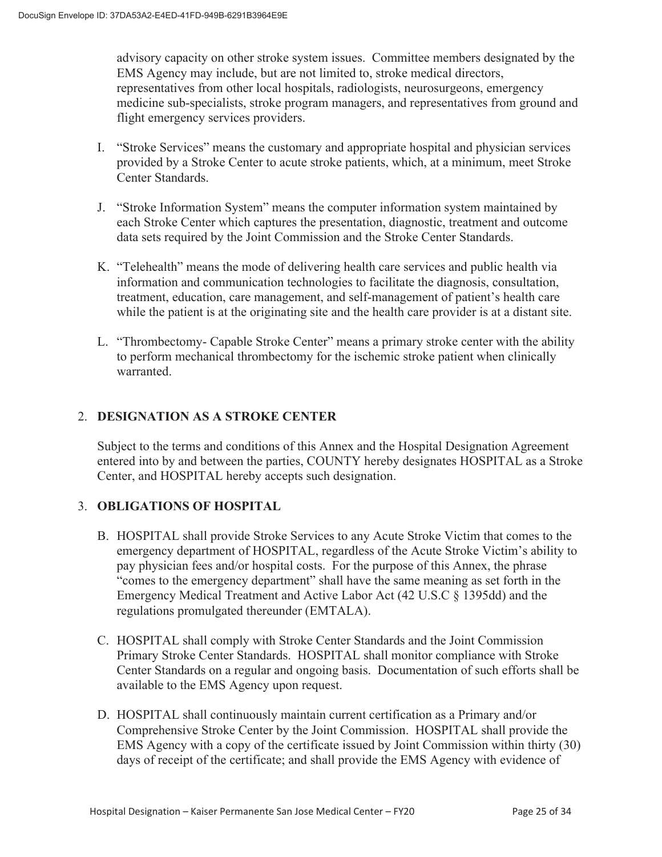advisory capacity on other stroke system issues. Committee members designated by the EMS Agency may include, but are not limited to, stroke medical directors, representatives from other local hospitals, radiologists, neurosurgeons, emergency medicine sub-specialists, stroke program managers, and representatives from ground and flight emergency services providers.

- I. "Stroke Services" means the customary and appropriate hospital and physician services provided by a Stroke Center to acute stroke patients, which, at a minimum, meet Stroke Center Standards.
- J. "Stroke Information System" means the computer information system maintained by each Stroke Center which captures the presentation, diagnostic, treatment and outcome data sets required by the Joint Commission and the Stroke Center Standards.
- K. "Telehealth" means the mode of delivering health care services and public health via information and communication technologies to facilitate the diagnosis, consultation, treatment, education, care management, and self-management of patient's health care while the patient is at the originating site and the health care provider is at a distant site.
- L. "Thrombectomy- Capable Stroke Center" means a primary stroke center with the ability to perform mechanical thrombectomy for the ischemic stroke patient when clinically warranted.

# 2. **DESIGNATION AS A STROKE CENTER**

Subject to the terms and conditions of this Annex and the Hospital Designation Agreement entered into by and between the parties, COUNTY hereby designates HOSPITAL as a Stroke Center, and HOSPITAL hereby accepts such designation.

# 3. **OBLIGATIONS OF HOSPITAL**

- B. HOSPITAL shall provide Stroke Services to any Acute Stroke Victim that comes to the emergency department of HOSPITAL, regardless of the Acute Stroke Victim's ability to pay physician fees and/or hospital costs. For the purpose of this Annex, the phrase "comes to the emergency department" shall have the same meaning as set forth in the Emergency Medical Treatment and Active Labor Act (42 U.S.C § 1395dd) and the regulations promulgated thereunder (EMTALA).
- C. HOSPITAL shall comply with Stroke Center Standards and the Joint Commission Primary Stroke Center Standards. HOSPITAL shall monitor compliance with Stroke Center Standards on a regular and ongoing basis. Documentation of such efforts shall be available to the EMS Agency upon request.
- D. HOSPITAL shall continuously maintain current certification as a Primary and/or Comprehensive Stroke Center by the Joint Commission. HOSPITAL shall provide the EMS Agency with a copy of the certificate issued by Joint Commission within thirty (30) days of receipt of the certificate; and shall provide the EMS Agency with evidence of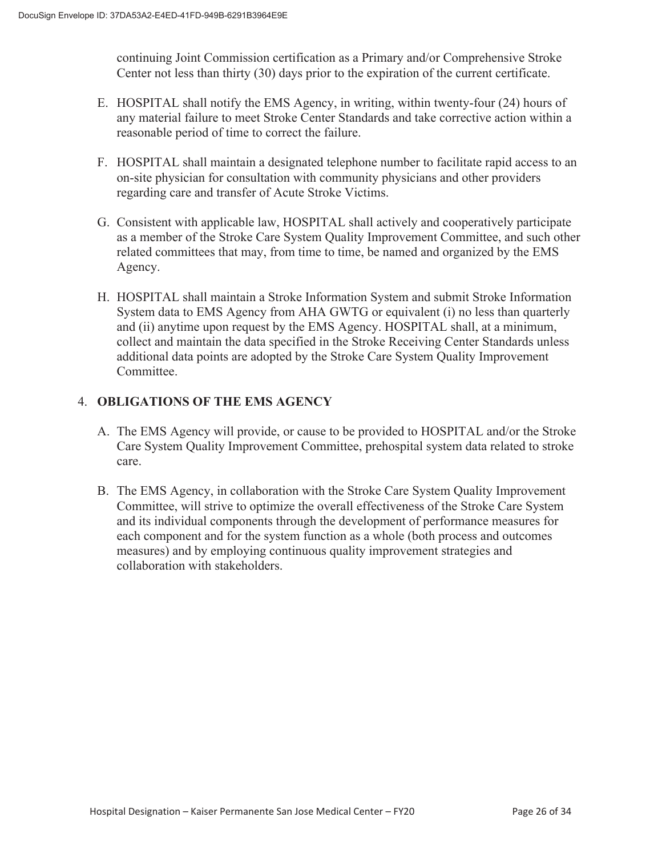continuing Joint Commission certification as a Primary and/or Comprehensive Stroke Center not less than thirty (30) days prior to the expiration of the current certificate.

- E. HOSPITAL shall notify the EMS Agency, in writing, within twenty-four (24) hours of any material failure to meet Stroke Center Standards and take corrective action within a reasonable period of time to correct the failure.
- F. HOSPITAL shall maintain a designated telephone number to facilitate rapid access to an on-site physician for consultation with community physicians and other providers regarding care and transfer of Acute Stroke Victims.
- G. Consistent with applicable law, HOSPITAL shall actively and cooperatively participate as a member of the Stroke Care System Quality Improvement Committee, and such other related committees that may, from time to time, be named and organized by the EMS Agency.
- H. HOSPITAL shall maintain a Stroke Information System and submit Stroke Information System data to EMS Agency from AHA GWTG or equivalent (i) no less than quarterly and (ii) anytime upon request by the EMS Agency. HOSPITAL shall, at a minimum, collect and maintain the data specified in the Stroke Receiving Center Standards unless additional data points are adopted by the Stroke Care System Quality Improvement Committee.

# 4. **OBLIGATIONS OF THE EMS AGENCY**

- A. The EMS Agency will provide, or cause to be provided to HOSPITAL and/or the Stroke Care System Quality Improvement Committee, prehospital system data related to stroke care.
- B. The EMS Agency, in collaboration with the Stroke Care System Quality Improvement Committee, will strive to optimize the overall effectiveness of the Stroke Care System and its individual components through the development of performance measures for each component and for the system function as a whole (both process and outcomes measures) and by employing continuous quality improvement strategies and collaboration with stakeholders.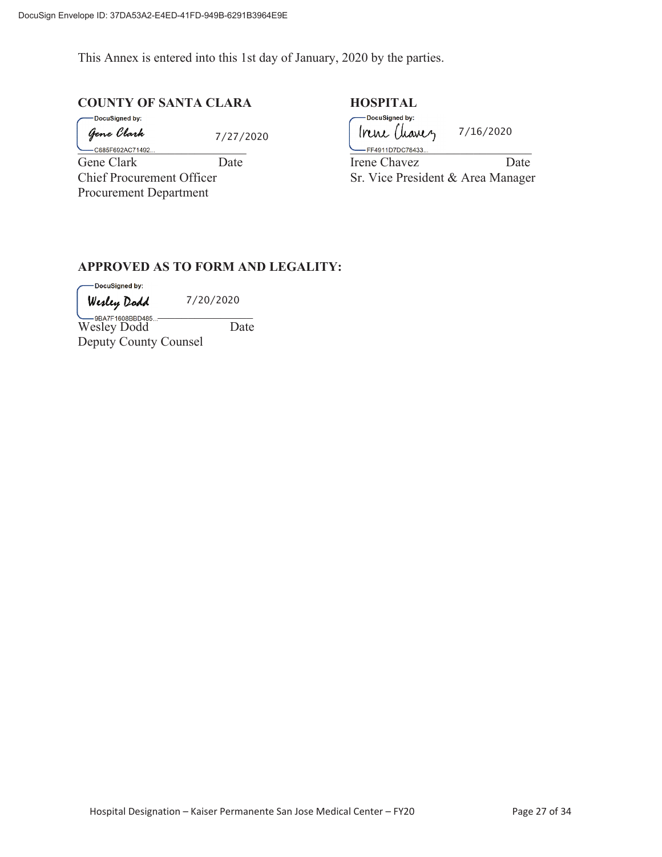This Annex is entered into this 1st day of January, 2020 by the parties.

# **COUNTY OF SANTA CLARA HOSPITAL**

DocuSigned by: Gene Clark

7/27/2020

\_<br>-C685F692AC71492... Gene Clark Date<br>Chief Procurement Officer Procurement Department

| DocuSigned by:<br>Irene Chanez    | 7/16/2020 |  |
|-----------------------------------|-----------|--|
| FF4911D7DC78433                   |           |  |
| Irene Chavez                      | Date      |  |
| Sr. Vice President & Area Manager |           |  |

#### **APPROVED AS TO FORM AND LEGALITY:**

-DocuSigned by:

7/20/2020

 $ORAZE4600DD1495$ Wesley Dodd Date Deputy County Counsel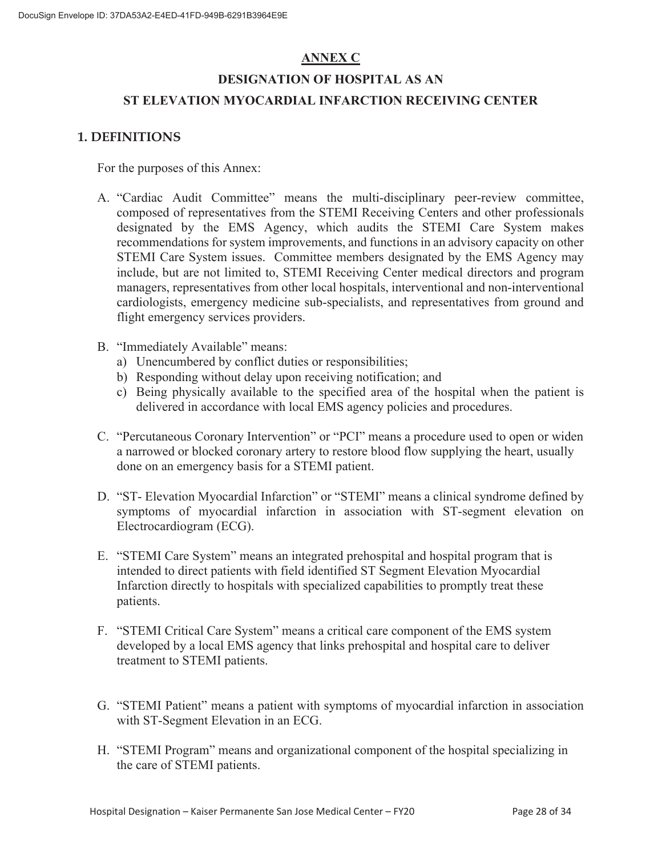# **ANNEX C**

# **DESIGNATION OF HOSPITAL AS AN ST ELEVATION MYOCARDIAL INFARCTION RECEIVING CENTER**

# **1. DEFINITIONS**

For the purposes of this Annex:

- A. "Cardiac Audit Committee" means the multi-disciplinary peer-review committee, composed of representatives from the STEMI Receiving Centers and other professionals designated by the EMS Agency, which audits the STEMI Care System makes recommendations for system improvements, and functions in an advisory capacity on other STEMI Care System issues. Committee members designated by the EMS Agency may include, but are not limited to, STEMI Receiving Center medical directors and program managers, representatives from other local hospitals, interventional and non-interventional cardiologists, emergency medicine sub-specialists, and representatives from ground and flight emergency services providers.
- B. "Immediately Available" means:
	- a) Unencumbered by conflict duties or responsibilities;
	- b) Responding without delay upon receiving notification; and
	- c) Being physically available to the specified area of the hospital when the patient is delivered in accordance with local EMS agency policies and procedures.
- C. "Percutaneous Coronary Intervention" or "PCI" means a procedure used to open or widen a narrowed or blocked coronary artery to restore blood flow supplying the heart, usually done on an emergency basis for a STEMI patient.
- D. "ST- Elevation Myocardial Infarction" or "STEMI" means a clinical syndrome defined by symptoms of myocardial infarction in association with ST-segment elevation on Electrocardiogram (ECG).
- E. "STEMI Care System" means an integrated prehospital and hospital program that is intended to direct patients with field identified ST Segment Elevation Myocardial Infarction directly to hospitals with specialized capabilities to promptly treat these patients.
- F. "STEMI Critical Care System" means a critical care component of the EMS system developed by a local EMS agency that links prehospital and hospital care to deliver treatment to STEMI patients.
- G. "STEMI Patient" means a patient with symptoms of myocardial infarction in association with ST-Segment Elevation in an ECG.
- H. "STEMI Program" means and organizational component of the hospital specializing in the care of STEMI patients.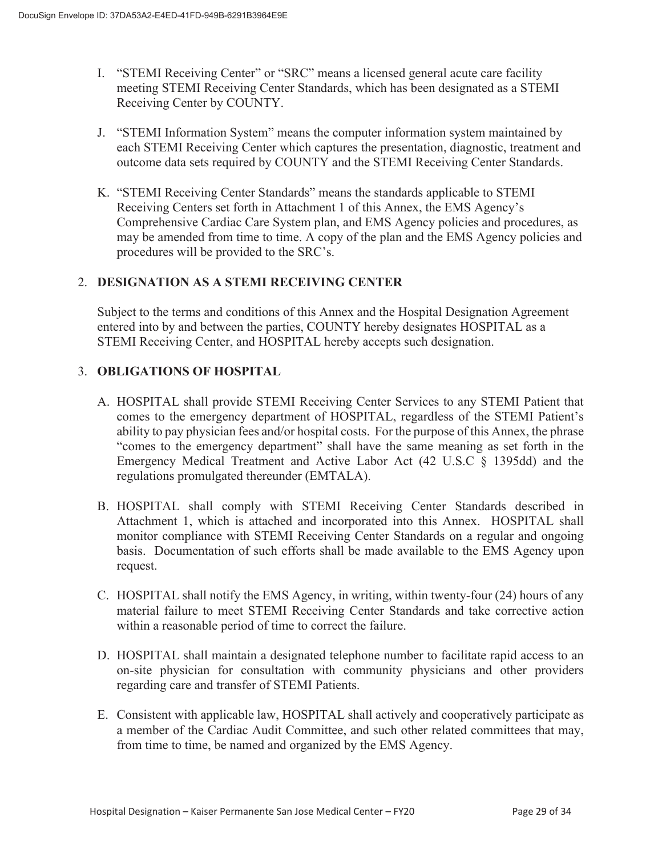- I. "STEMI Receiving Center" or "SRC" means a licensed general acute care facility meeting STEMI Receiving Center Standards, which has been designated as a STEMI Receiving Center by COUNTY.
- J. "STEMI Information System" means the computer information system maintained by each STEMI Receiving Center which captures the presentation, diagnostic, treatment and outcome data sets required by COUNTY and the STEMI Receiving Center Standards.
- K. "STEMI Receiving Center Standards" means the standards applicable to STEMI Receiving Centers set forth in Attachment 1 of this Annex, the EMS Agency's Comprehensive Cardiac Care System plan, and EMS Agency policies and procedures, as may be amended from time to time. A copy of the plan and the EMS Agency policies and procedures will be provided to the SRC's.

## 2. **DESIGNATION AS A STEMI RECEIVING CENTER**

Subject to the terms and conditions of this Annex and the Hospital Designation Agreement entered into by and between the parties, COUNTY hereby designates HOSPITAL as a STEMI Receiving Center, and HOSPITAL hereby accepts such designation.

## 3. **OBLIGATIONS OF HOSPITAL**

- A. HOSPITAL shall provide STEMI Receiving Center Services to any STEMI Patient that comes to the emergency department of HOSPITAL, regardless of the STEMI Patient's ability to pay physician fees and/or hospital costs. For the purpose of this Annex, the phrase "comes to the emergency department" shall have the same meaning as set forth in the Emergency Medical Treatment and Active Labor Act (42 U.S.C § 1395dd) and the regulations promulgated thereunder (EMTALA).
- B. HOSPITAL shall comply with STEMI Receiving Center Standards described in Attachment 1, which is attached and incorporated into this Annex. HOSPITAL shall monitor compliance with STEMI Receiving Center Standards on a regular and ongoing basis. Documentation of such efforts shall be made available to the EMS Agency upon request.
- C. HOSPITAL shall notify the EMS Agency, in writing, within twenty-four (24) hours of any material failure to meet STEMI Receiving Center Standards and take corrective action within a reasonable period of time to correct the failure.
- D. HOSPITAL shall maintain a designated telephone number to facilitate rapid access to an on-site physician for consultation with community physicians and other providers regarding care and transfer of STEMI Patients.
- E. Consistent with applicable law, HOSPITAL shall actively and cooperatively participate as a member of the Cardiac Audit Committee, and such other related committees that may, from time to time, be named and organized by the EMS Agency.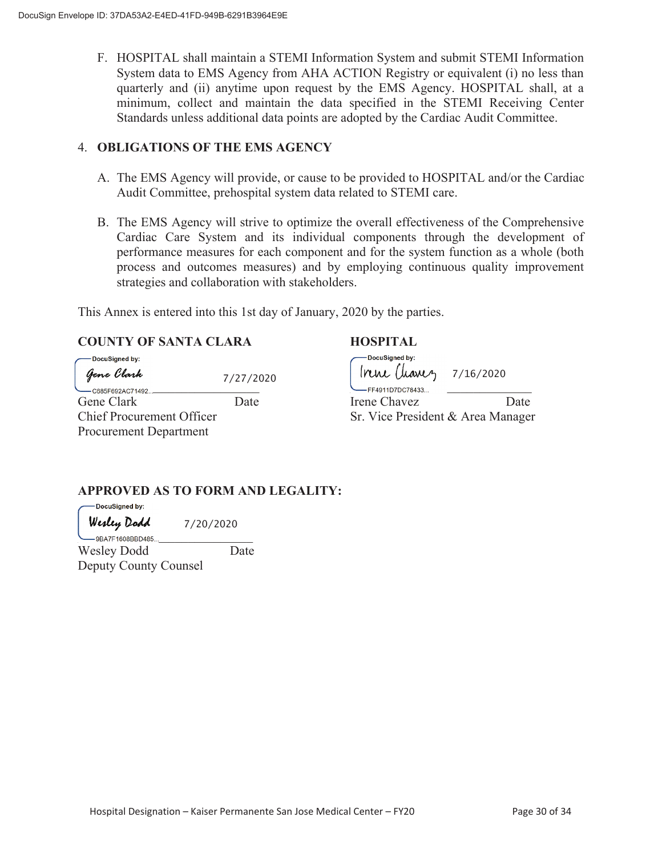F. HOSPITAL shall maintain a STEMI Information System and submit STEMI Information System data to EMS Agency from AHA ACTION Registry or equivalent (i) no less than quarterly and (ii) anytime upon request by the EMS Agency. HOSPITAL shall, at a minimum, collect and maintain the data specified in the STEMI Receiving Center Standards unless additional data points are adopted by the Cardiac Audit Committee.

#### 4. **OBLIGATIONS OF THE EMS AGENCY**

- A. The EMS Agency will provide, or cause to be provided to HOSPITAL and/or the Cardiac Audit Committee, prehospital system data related to STEMI care.
- B. The EMS Agency will strive to optimize the overall effectiveness of the Comprehensive Cardiac Care System and its individual components through the development of performance measures for each component and for the system function as a whole (both process and outcomes measures) and by employing continuous quality improvement strategies and collaboration with stakeholders.

This Annex is entered into this 1st day of January, 2020 by the parties.

# **COUNTY OF SANTA CLARA HOSPITAL**

| -DocuSigned by:<br>Gene Clark    | 7/27/2020 | -DocuSigned by:<br>$lnn$ $(luawy$ $7/16/2020$ |      |
|----------------------------------|-----------|-----------------------------------------------|------|
| C685F692AC71492                  |           | FF4911D7DC78433                               |      |
| Gene Clark                       | Date      | Irene Chavez                                  | Date |
| <b>Chief Procurement Officer</b> |           | Sr. Vice President & Area Manager             |      |
| <b>Procurement Department</b>    |           |                                               |      |

# **APPROVED AS TO FORM AND LEGALITY:**

| DocuSigned by:     |           |
|--------------------|-----------|
| Werley Dodd        | 7/20/2020 |
| $-9BAYF1608BBD485$ |           |

Wesley Dodd Date Deputy County Counsel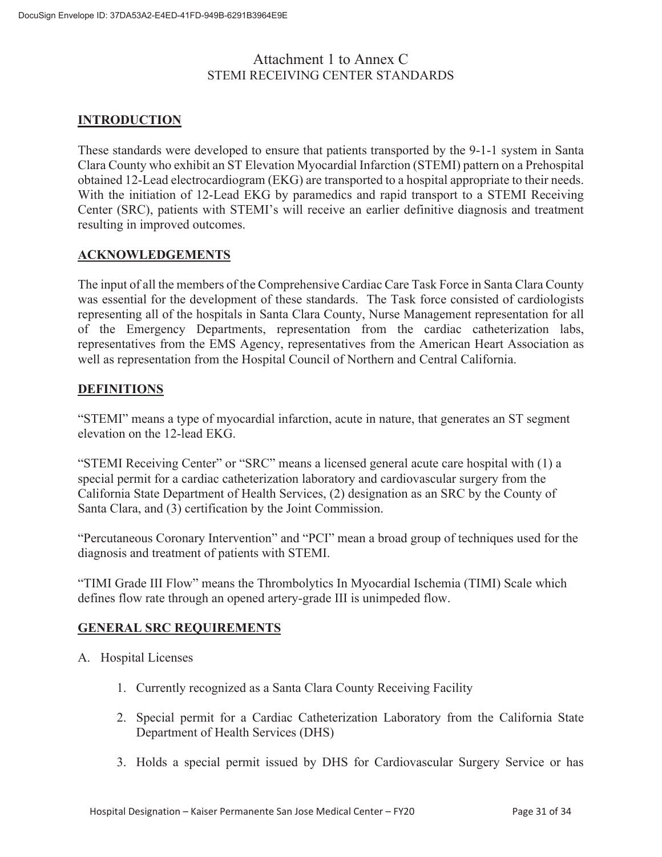# Attachment 1 to Annex C STEMI RECEIVING CENTER STANDARDS

# **INTRODUCTION**

These standards were developed to ensure that patients transported by the 9-1-1 system in Santa Clara County who exhibit an ST Elevation Myocardial Infarction (STEMI) pattern on a Prehospital obtained 12-Lead electrocardiogram (EKG) are transported to a hospital appropriate to their needs. With the initiation of 12-Lead EKG by paramedics and rapid transport to a STEMI Receiving Center (SRC), patients with STEMI's will receive an earlier definitive diagnosis and treatment resulting in improved outcomes.

## **ACKNOWLEDGEMENTS**

The input of all the members of the Comprehensive Cardiac Care Task Force in Santa Clara County was essential for the development of these standards. The Task force consisted of cardiologists representing all of the hospitals in Santa Clara County, Nurse Management representation for all of the Emergency Departments, representation from the cardiac catheterization labs, representatives from the EMS Agency, representatives from the American Heart Association as well as representation from the Hospital Council of Northern and Central California.

## **DEFINITIONS**

"STEMI" means a type of myocardial infarction, acute in nature, that generates an ST segment elevation on the 12-lead EKG.

"STEMI Receiving Center" or "SRC" means a licensed general acute care hospital with (1) a special permit for a cardiac catheterization laboratory and cardiovascular surgery from the California State Department of Health Services, (2) designation as an SRC by the County of Santa Clara, and (3) certification by the Joint Commission.

"Percutaneous Coronary Intervention" and "PCI" mean a broad group of techniques used for the diagnosis and treatment of patients with STEMI.

"TIMI Grade III Flow" means the Thrombolytics In Myocardial Ischemia (TIMI) Scale which defines flow rate through an opened artery-grade III is unimpeded flow.

# **GENERAL SRC REQUIREMENTS**

- A. Hospital Licenses
	- 1. Currently recognized as a Santa Clara County Receiving Facility
	- 2. Special permit for a Cardiac Catheterization Laboratory from the California State Department of Health Services (DHS)
	- 3. Holds a special permit issued by DHS for Cardiovascular Surgery Service or has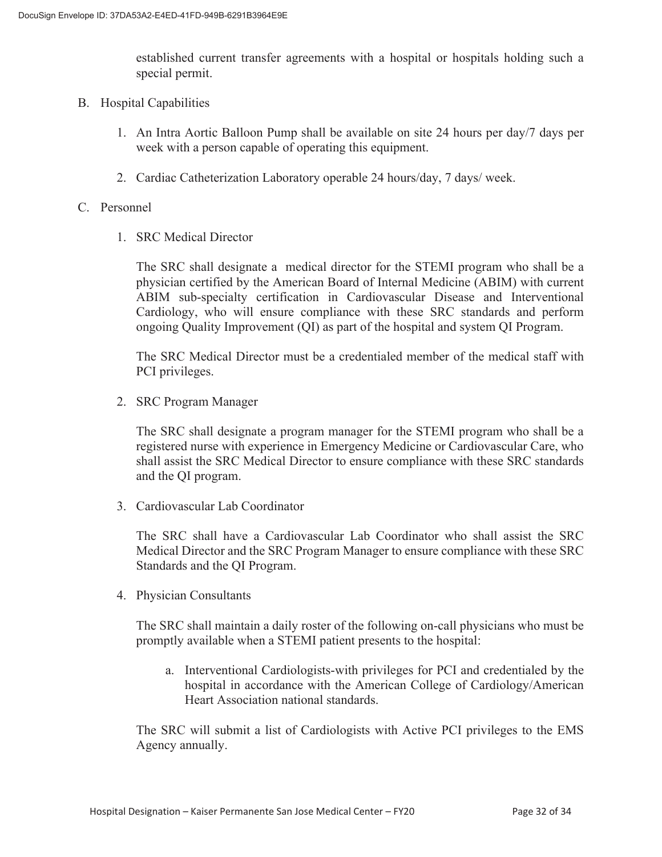established current transfer agreements with a hospital or hospitals holding such a special permit.

- B. Hospital Capabilities
	- 1. An Intra Aortic Balloon Pump shall be available on site 24 hours per day/7 days per week with a person capable of operating this equipment.
	- 2. Cardiac Catheterization Laboratory operable 24 hours/day, 7 days/ week.

#### C. Personnel

1. SRC Medical Director

The SRC shall designate a medical director for the STEMI program who shall be a physician certified by the American Board of Internal Medicine (ABIM) with current ABIM sub-specialty certification in Cardiovascular Disease and Interventional Cardiology, who will ensure compliance with these SRC standards and perform ongoing Quality Improvement (QI) as part of the hospital and system QI Program.

The SRC Medical Director must be a credentialed member of the medical staff with PCI privileges.

2. SRC Program Manager

The SRC shall designate a program manager for the STEMI program who shall be a registered nurse with experience in Emergency Medicine or Cardiovascular Care, who shall assist the SRC Medical Director to ensure compliance with these SRC standards and the QI program.

3. Cardiovascular Lab Coordinator

The SRC shall have a Cardiovascular Lab Coordinator who shall assist the SRC Medical Director and the SRC Program Manager to ensure compliance with these SRC Standards and the QI Program.

4. Physician Consultants

The SRC shall maintain a daily roster of the following on-call physicians who must be promptly available when a STEMI patient presents to the hospital:

a. Interventional Cardiologists-with privileges for PCI and credentialed by the hospital in accordance with the American College of Cardiology/American Heart Association national standards.

The SRC will submit a list of Cardiologists with Active PCI privileges to the EMS Agency annually.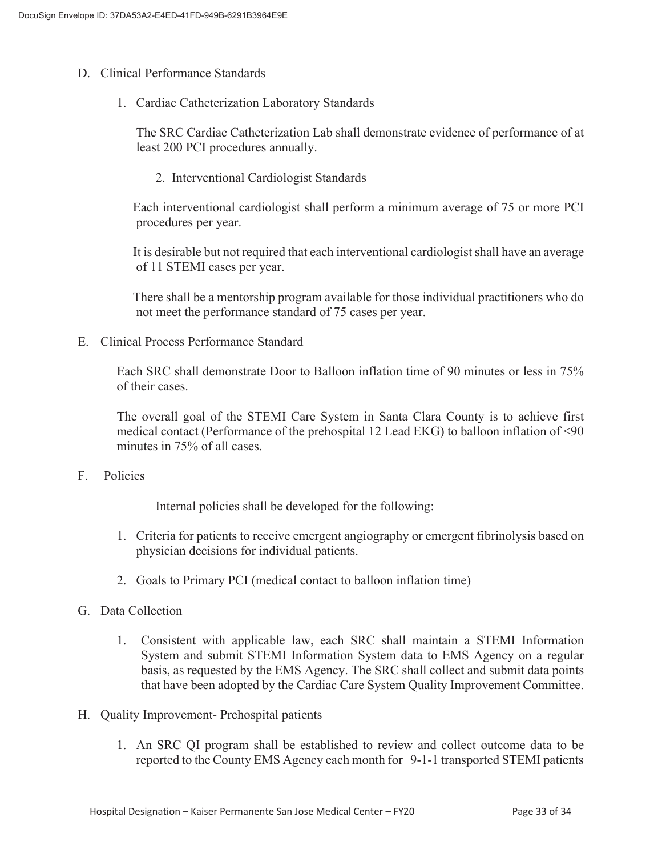- D. Clinical Performance Standards
	- 1. Cardiac Catheterization Laboratory Standards

The SRC Cardiac Catheterization Lab shall demonstrate evidence of performance of at least 200 PCI procedures annually.

2. Interventional Cardiologist Standards

 Each interventional cardiologist shall perform a minimum average of 75 or more PCI procedures per year.

 It is desirable but not required that each interventional cardiologist shall have an average of 11 STEMI cases per year.

 There shall be a mentorship program available for those individual practitioners who do not meet the performance standard of 75 cases per year.

E. Clinical Process Performance Standard

Each SRC shall demonstrate Door to Balloon inflation time of 90 minutes or less in 75% of their cases.

The overall goal of the STEMI Care System in Santa Clara County is to achieve first medical contact (Performance of the prehospital 12 Lead EKG) to balloon inflation of <90 minutes in 75% of all cases.

F. Policies

Internal policies shall be developed for the following:

- 1. Criteria for patients to receive emergent angiography or emergent fibrinolysis based on physician decisions for individual patients.
- 2. Goals to Primary PCI (medical contact to balloon inflation time)
- G. Data Collection
	- 1. Consistent with applicable law, each SRC shall maintain a STEMI Information System and submit STEMI Information System data to EMS Agency on a regular basis, as requested by the EMS Agency. The SRC shall collect and submit data points that have been adopted by the Cardiac Care System Quality Improvement Committee.
- H. Quality Improvement- Prehospital patients
	- 1. An SRC QI program shall be established to review and collect outcome data to be reported to the County EMS Agency each month for 9-1-1 transported STEMI patients